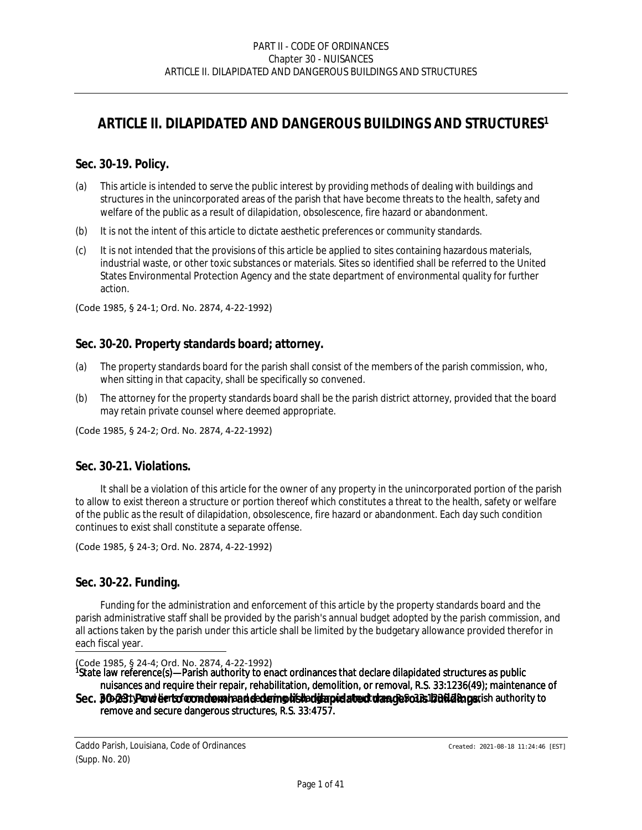# *ARTICLE II. DILAPIDATED AND DANGEROUS BUILDINGS AND STRUCTURES<sup>1</sup>*

### **Sec. 30-19. Policy.**

- (a) This article is intended to serve the public interest by providing methods of dealing with buildings and structures in the unincorporated areas of the parish that have become threats to the health, safety and welfare of the public as a result of dilapidation, obsolescence, fire hazard or abandonment.
- (b) It is not the intent of this article to dictate aesthetic preferences or community standards.
- (c) It is not intended that the provisions of this article be applied to sites containing hazardous materials, industrial waste, or other toxic substances or materials. Sites so identified shall be referred to the United States Environmental Protection Agency and the state department of environmental quality for further action.

(Code 1985, § 24-1; Ord. No. 2874, 4-22-1992)

#### **Sec. 30-20. Property standards board; attorney.**

- (a) The property standards board for the parish shall consist of the members of the parish commission, who, when sitting in that capacity, shall be specifically so convened.
- (b) The attorney for the property standards board shall be the parish district attorney, provided that the board may retain private counsel where deemed appropriate.

(Code 1985, § 24-2; Ord. No. 2874, 4-22-1992)

### **Sec. 30-21. Violations.**

It shall be a violation of this article for the owner of any property in the unincorporated portion of the parish to allow to exist thereon a structure or portion thereof which constitutes a threat to the health, safety or welfare of the public as the result of dilapidation, obsolescence, fire hazard or abandonment. Each day such condition continues to exist shall constitute a separate offense.

(Code 1985, § 24-3; Ord. No. 2874, 4-22-1992)

#### **Sec. 30-22. Funding.**

Funding for the administration and enforcement of this article by the property standards board and the parish administrative staff shall be provided by the parish's annual budget adopted by the parish commission, and all actions taken by the parish under this article shall be limited by the budgetary allowance provided therefor in each fiscal year.

```
(Code 1985, § 24-4; Ord. No. 2874, 4-22-1992)
```
<sup>1</sup>State law reference(s)—Parish authority to enact ordinances that declare dilapidated structures as public

nuisances and require their repair, rehabilitation, demolition, or removal, R.S. 33:1236(49); maintenance of  $\textbf{Sec. } \textbf{80:}$   $\textbf{23:}$  Pand lients for one demoninant declering distruction dilated to the danger of  $\textbf{20:}$  and  $\textbf{20:}$  and  $\textbf{20:}$  and  $\textbf{20:}$ remove and secure dangerous structures, R.S. 33:4757.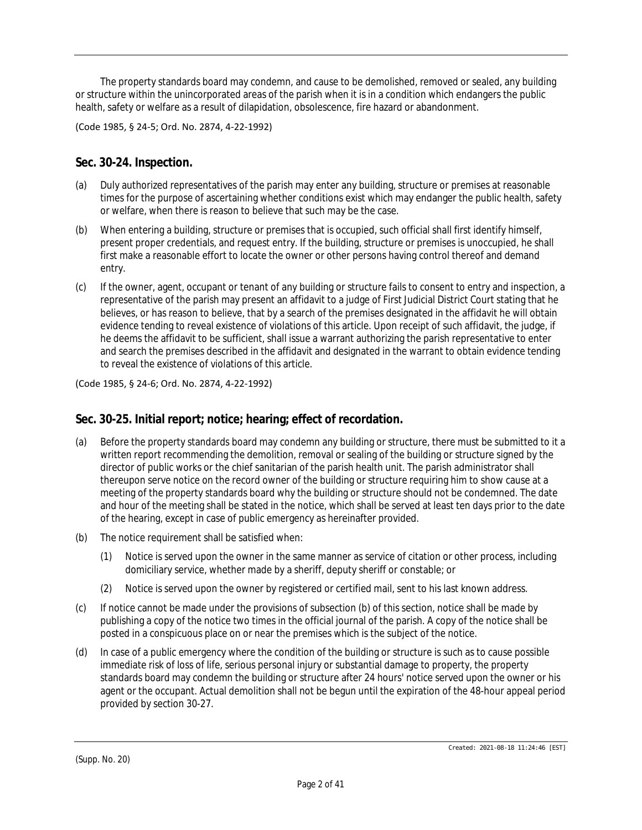The property standards board may condemn, and cause to be demolished, removed or sealed, any building or structure within the unincorporated areas of the parish when it is in a condition which endangers the public health, safety or welfare as a result of dilapidation, obsolescence, fire hazard or abandonment.

(Code 1985, § 24-5; Ord. No. 2874, 4-22-1992)

### **Sec. 30-24. Inspection.**

- (a) Duly authorized representatives of the parish may enter any building, structure or premises at reasonable times for the purpose of ascertaining whether conditions exist which may endanger the public health, safety or welfare, when there is reason to believe that such may be the case.
- (b) When entering a building, structure or premises that is occupied, such official shall first identify himself, present proper credentials, and request entry. If the building, structure or premises is unoccupied, he shall first make a reasonable effort to locate the owner or other persons having control thereof and demand entry.
- (c) If the owner, agent, occupant or tenant of any building or structure fails to consent to entry and inspection, a representative of the parish may present an affidavit to a judge of First Judicial District Court stating that he believes, or has reason to believe, that by a search of the premises designated in the affidavit he will obtain evidence tending to reveal existence of violations of this article. Upon receipt of such affidavit, the judge, if he deems the affidavit to be sufficient, shall issue a warrant authorizing the parish representative to enter and search the premises described in the affidavit and designated in the warrant to obtain evidence tending to reveal the existence of violations of this article.

(Code 1985, § 24-6; Ord. No. 2874, 4-22-1992)

## **Sec. 30-25. Initial report; notice; hearing; effect of recordation.**

- (a) Before the property standards board may condemn any building or structure, there must be submitted to it a written report recommending the demolition, removal or sealing of the building or structure signed by the director of public works or the chief sanitarian of the parish health unit. The parish administrator shall thereupon serve notice on the record owner of the building or structure requiring him to show cause at a meeting of the property standards board why the building or structure should not be condemned. The date and hour of the meeting shall be stated in the notice, which shall be served at least ten days prior to the date of the hearing, except in case of public emergency as hereinafter provided.
- (b) The notice requirement shall be satisfied when:
	- (1) Notice is served upon the owner in the same manner as service of citation or other process, including domiciliary service, whether made by a sheriff, deputy sheriff or constable; or
	- (2) Notice is served upon the owner by registered or certified mail, sent to his last known address.
- (c) If notice cannot be made under the provisions of subsection (b) of this section, notice shall be made by publishing a copy of the notice two times in the official journal of the parish. A copy of the notice shall be posted in a conspicuous place on or near the premises which is the subject of the notice.
- (d) In case of a public emergency where the condition of the building or structure is such as to cause possible immediate risk of loss of life, serious personal injury or substantial damage to property, the property standards board may condemn the building or structure after 24 hours' notice served upon the owner or his agent or the occupant. Actual demolition shall not be begun until the expiration of the 48-hour appeal period provided by section 30-27.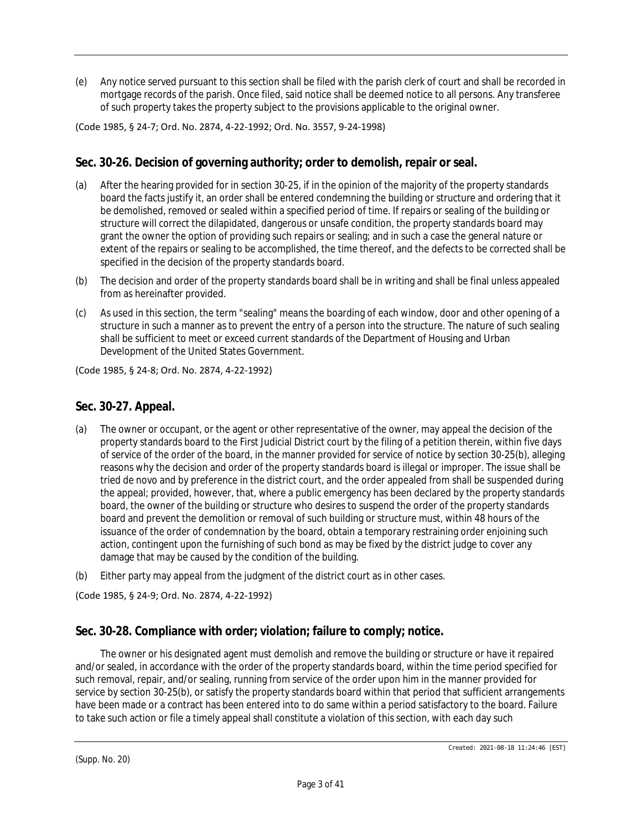(e) Any notice served pursuant to this section shall be filed with the parish clerk of court and shall be recorded in mortgage records of the parish. Once filed, said notice shall be deemed notice to all persons. Any transferee of such property takes the property subject to the provisions applicable to the original owner.

(Code 1985, § 24-7; Ord. No. 2874, 4-22-1992; Ord. No. 3557, 9-24-1998)

### **Sec. 30-26. Decision of governing authority; order to demolish, repair or seal.**

- (a) After the hearing provided for in section 30-25, if in the opinion of the majority of the property standards board the facts justify it, an order shall be entered condemning the building or structure and ordering that it be demolished, removed or sealed within a specified period of time. If repairs or sealing of the building or structure will correct the dilapidated, dangerous or unsafe condition, the property standards board may grant the owner the option of providing such repairs or sealing; and in such a case the general nature or extent of the repairs or sealing to be accomplished, the time thereof, and the defects to be corrected shall be specified in the decision of the property standards board.
- (b) The decision and order of the property standards board shall be in writing and shall be final unless appealed from as hereinafter provided.
- (c) As used in this section, the term "sealing" means the boarding of each window, door and other opening of a structure in such a manner as to prevent the entry of a person into the structure. The nature of such sealing shall be sufficient to meet or exceed current standards of the Department of Housing and Urban Development of the United States Government.

(Code 1985, § 24-8; Ord. No. 2874, 4-22-1992)

### **Sec. 30-27. Appeal.**

- (a) The owner or occupant, or the agent or other representative of the owner, may appeal the decision of the property standards board to the First Judicial District court by the filing of a petition therein, within five days of service of the order of the board, in the manner provided for service of notice by section 30-25(b), alleging reasons why the decision and order of the property standards board is illegal or improper. The issue shall be tried de novo and by preference in the district court, and the order appealed from shall be suspended during the appeal; provided, however, that, where a public emergency has been declared by the property standards board, the owner of the building or structure who desires to suspend the order of the property standards board and prevent the demolition or removal of such building or structure must, within 48 hours of the issuance of the order of condemnation by the board, obtain a temporary restraining order enjoining such action, contingent upon the furnishing of such bond as may be fixed by the district judge to cover any damage that may be caused by the condition of the building.
- (b) Either party may appeal from the judgment of the district court as in other cases.

(Code 1985, § 24-9; Ord. No. 2874, 4-22-1992)

## **Sec. 30-28. Compliance with order; violation; failure to comply; notice.**

The owner or his designated agent must demolish and remove the building or structure or have it repaired and/or sealed, in accordance with the order of the property standards board, within the time period specified for such removal, repair, and/or sealing, running from service of the order upon him in the manner provided for service by section 30-25(b), or satisfy the property standards board within that period that sufficient arrangements have been made or a contract has been entered into to do same within a period satisfactory to the board. Failure to take such action or file a timely appeal shall constitute a violation of this section, with each day such

(Supp. No. 20)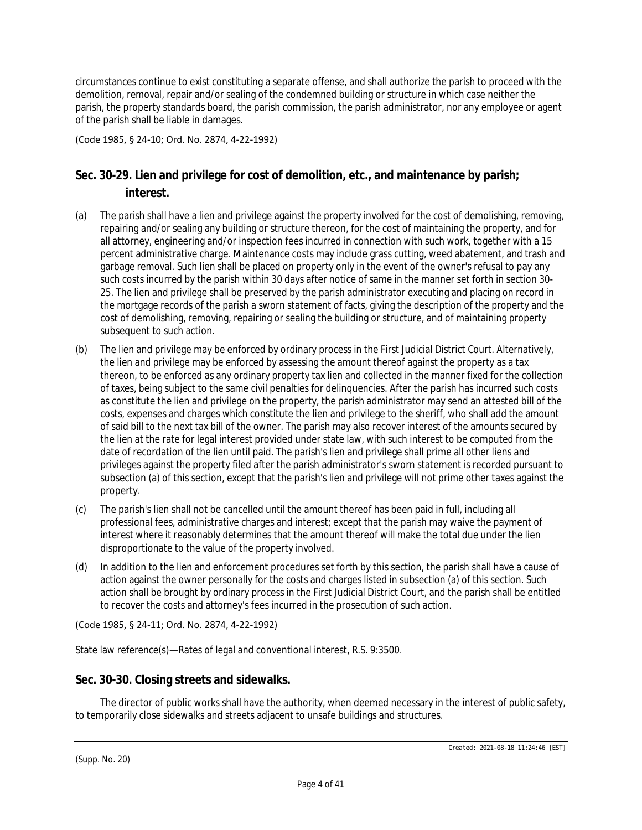circumstances continue to exist constituting a separate offense, and shall authorize the parish to proceed with the demolition, removal, repair and/or sealing of the condemned building or structure in which case neither the parish, the property standards board, the parish commission, the parish administrator, nor any employee or agent of the parish shall be liable in damages.

(Code 1985, § 24-10; Ord. No. 2874, 4-22-1992)

## **Sec. 30-29. Lien and privilege for cost of demolition, etc., and maintenance by parish; interest.**

- (a) The parish shall have a lien and privilege against the property involved for the cost of demolishing, removing, repairing and/or sealing any building or structure thereon, for the cost of maintaining the property, and for all attorney, engineering and/or inspection fees incurred in connection with such work, together with a 15 percent administrative charge. Maintenance costs may include grass cutting, weed abatement, and trash and garbage removal. Such lien shall be placed on property only in the event of the owner's refusal to pay any such costs incurred by the parish within 30 days after notice of same in the manner set forth in section 30- 25. The lien and privilege shall be preserved by the parish administrator executing and placing on record in the mortgage records of the parish a sworn statement of facts, giving the description of the property and the cost of demolishing, removing, repairing or sealing the building or structure, and of maintaining property subsequent to such action.
- (b) The lien and privilege may be enforced by ordinary process in the First Judicial District Court. Alternatively, the lien and privilege may be enforced by assessing the amount thereof against the property as a tax thereon, to be enforced as any ordinary property tax lien and collected in the manner fixed for the collection of taxes, being subject to the same civil penalties for delinquencies. After the parish has incurred such costs as constitute the lien and privilege on the property, the parish administrator may send an attested bill of the costs, expenses and charges which constitute the lien and privilege to the sheriff, who shall add the amount of said bill to the next tax bill of the owner. The parish may also recover interest of the amounts secured by the lien at the rate for legal interest provided under state law, with such interest to be computed from the date of recordation of the lien until paid. The parish's lien and privilege shall prime all other liens and privileges against the property filed after the parish administrator's sworn statement is recorded pursuant to subsection (a) of this section, except that the parish's lien and privilege will not prime other taxes against the property.
- (c) The parish's lien shall not be cancelled until the amount thereof has been paid in full, including all professional fees, administrative charges and interest; except that the parish may waive the payment of interest where it reasonably determines that the amount thereof will make the total due under the lien disproportionate to the value of the property involved.
- (d) In addition to the lien and enforcement procedures set forth by this section, the parish shall have a cause of action against the owner personally for the costs and charges listed in subsection (a) of this section. Such action shall be brought by ordinary process in the First Judicial District Court, and the parish shall be entitled to recover the costs and attorney's fees incurred in the prosecution of such action.

(Code 1985, § 24-11; Ord. No. 2874, 4-22-1992)

State law reference(s)—Rates of legal and conventional interest, R.S. 9:3500.

## **Sec. 30-30. Closing streets and sidewalks.**

The director of public works shall have the authority, when deemed necessary in the interest of public safety, to temporarily close sidewalks and streets adjacent to unsafe buildings and structures.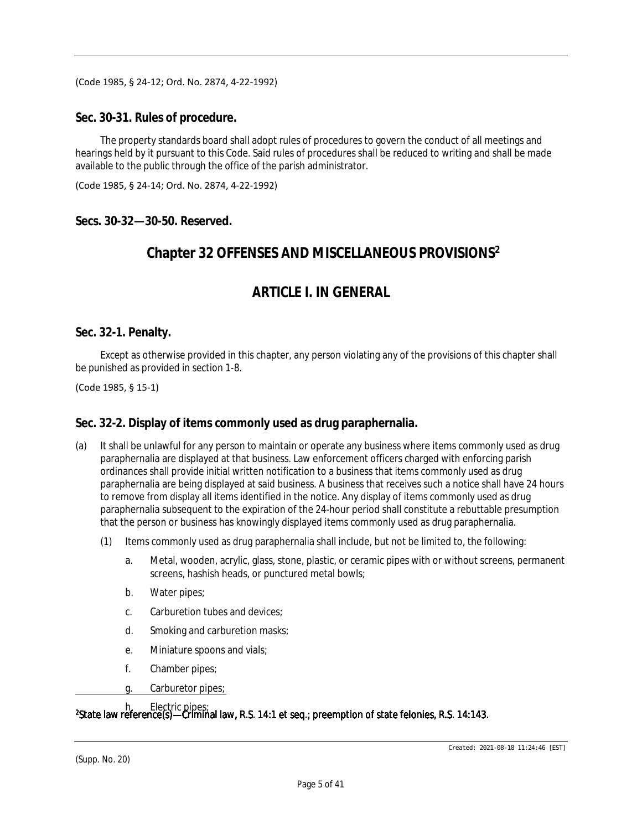(Code 1985, § 24-12; Ord. No. 2874, 4-22-1992)

#### **Sec. 30-31. Rules of procedure.**

The property standards board shall adopt rules of procedures to govern the conduct of all meetings and hearings held by it pursuant to this Code. Said rules of procedures shall be reduced to writing and shall be made available to the public through the office of the parish administrator.

(Code 1985, § 24-14; Ord. No. 2874, 4-22-1992)

**Secs. 30-32—30-50. Reserved.**

## **Chapter 32 OFFENSES AND MISCELLANEOUS PROVISIONS<sup>2</sup>**

# *ARTICLE I. IN GENERAL*

### **Sec. 32-1. Penalty.**

Except as otherwise provided in this chapter, any person violating any of the provisions of this chapter shall be punished as provided in section 1-8.

(Code 1985, § 15-1)

### **Sec. 32-2. Display of items commonly used as drug paraphernalia.**

- (a) It shall be unlawful for any person to maintain or operate any business where items commonly used as drug paraphernalia are displayed at that business. Law enforcement officers charged with enforcing parish ordinances shall provide initial written notification to a business that items commonly used as drug paraphernalia are being displayed at said business. A business that receives such a notice shall have 24 hours to remove from display all items identified in the notice. Any display of items commonly used as drug paraphernalia subsequent to the expiration of the 24-hour period shall constitute a rebuttable presumption that the person or business has knowingly displayed items commonly used as drug paraphernalia.
	- (1) Items commonly used as drug paraphernalia shall include, but not be limited to, the following:
		- a. Metal, wooden, acrylic, glass, stone, plastic, or ceramic pipes with or without screens, permanent screens, hashish heads, or punctured metal bowls;
		- b. Water pipes;
		- c. Carburetion tubes and devices;
		- d. Smoking and carburetion masks;
		- e. Miniature spoons and vials;
		- f. Chamber pipes;
		- g. Carburetor pipes;

<sup>2</sup>State law reference(s)—Criminal law, R.S. 14:1 et seq.; preemption of state felonies, R.S. 14:143. h. Electric pipes;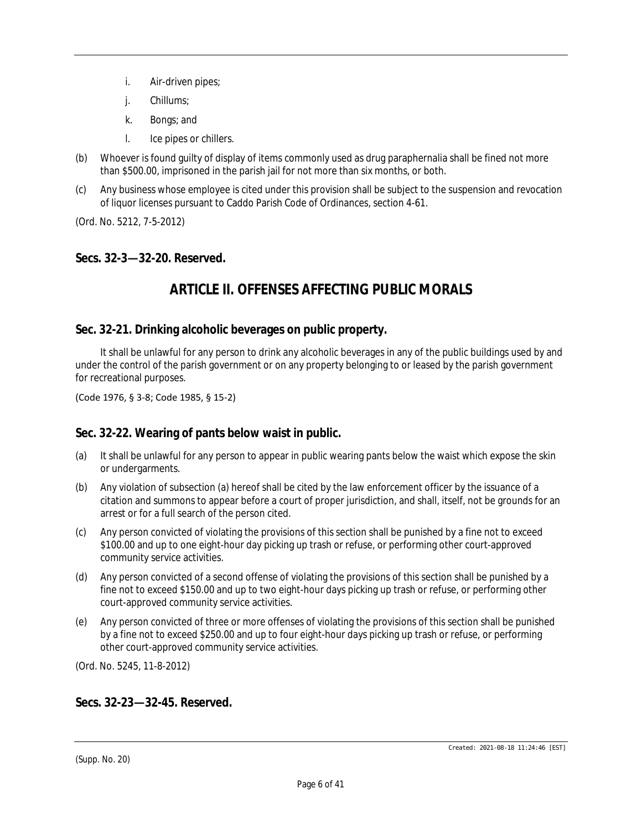- i. Air-driven pipes;
- j. Chillums;
- k. Bongs; and
- l. Ice pipes or chillers.
- (b) Whoever is found guilty of display of items commonly used as drug paraphernalia shall be fined not more than \$500.00, imprisoned in the parish jail for not more than six months, or both.
- (c) Any business whose employee is cited under this provision shall be subject to the suspension and revocation of liquor licenses pursuant to Caddo Parish Code of Ordinances, section 4-61.

(Ord. No. 5212, 7-5-2012)

### **Secs. 32-3—32-20. Reserved.**

# *ARTICLE II. OFFENSES AFFECTING PUBLIC MORALS*

### **Sec. 32-21. Drinking alcoholic beverages on public property.**

It shall be unlawful for any person to drink any alcoholic beverages in any of the public buildings used by and under the control of the parish government or on any property belonging to or leased by the parish government for recreational purposes.

(Code 1976, § 3-8; Code 1985, § 15-2)

#### **Sec. 32-22. Wearing of pants below waist in public.**

- (a) It shall be unlawful for any person to appear in public wearing pants below the waist which expose the skin or undergarments.
- (b) Any violation of subsection (a) hereof shall be cited by the law enforcement officer by the issuance of a citation and summons to appear before a court of proper jurisdiction, and shall, itself, not be grounds for an arrest or for a full search of the person cited.
- (c) Any person convicted of violating the provisions of this section shall be punished by a fine not to exceed \$100.00 and up to one eight-hour day picking up trash or refuse, or performing other court-approved community service activities.
- (d) Any person convicted of a second offense of violating the provisions of this section shall be punished by a fine not to exceed \$150.00 and up to two eight-hour days picking up trash or refuse, or performing other court-approved community service activities.
- (e) Any person convicted of three or more offenses of violating the provisions of this section shall be punished by a fine not to exceed \$250.00 and up to four eight-hour days picking up trash or refuse, or performing other court-approved community service activities.

(Ord. No. 5245, 11-8-2012)

### **Secs. 32-23—32-45. Reserved.**

(Supp. No. 20)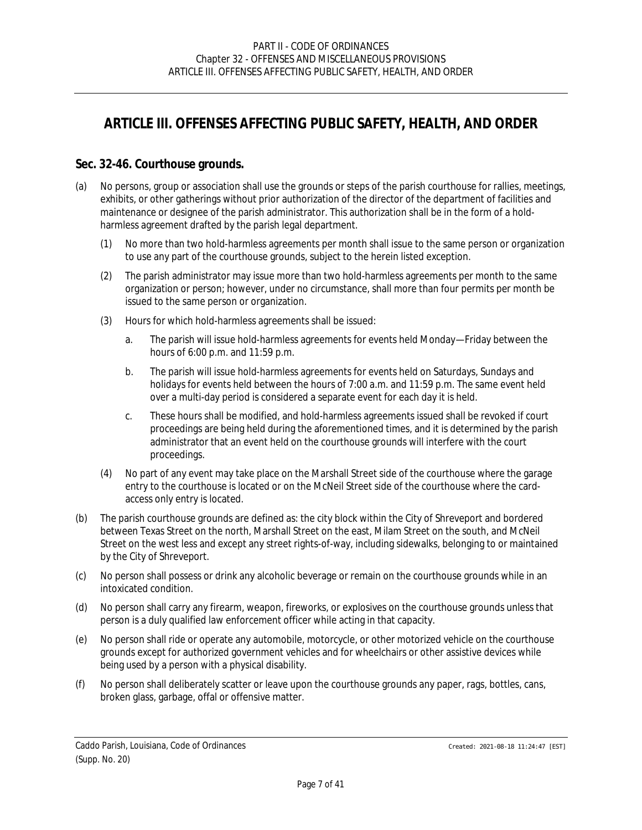# *ARTICLE III. OFFENSES AFFECTING PUBLIC SAFETY, HEALTH, AND ORDER*

### **Sec. 32-46. Courthouse grounds.**

- (a) No persons, group or association shall use the grounds or steps of the parish courthouse for rallies, meetings, exhibits, or other gatherings without prior authorization of the director of the department of facilities and maintenance or designee of the parish administrator. This authorization shall be in the form of a holdharmless agreement drafted by the parish legal department.
	- (1) No more than two hold-harmless agreements per month shall issue to the same person or organization to use any part of the courthouse grounds, subject to the herein listed exception.
	- (2) The parish administrator may issue more than two hold-harmless agreements per month to the same organization or person; however, under no circumstance, shall more than four permits per month be issued to the same person or organization.
	- (3) Hours for which hold-harmless agreements shall be issued:
		- a. The parish will issue hold-harmless agreements for events held Monday—Friday between the hours of 6:00 p.m. and 11:59 p.m.
		- b. The parish will issue hold-harmless agreements for events held on Saturdays, Sundays and holidays for events held between the hours of 7:00 a.m. and 11:59 p.m. The same event held over a multi-day period is considered a separate event for each day it is held.
		- c. These hours shall be modified, and hold-harmless agreements issued shall be revoked if court proceedings are being held during the aforementioned times, and it is determined by the parish administrator that an event held on the courthouse grounds will interfere with the court proceedings.
	- (4) No part of any event may take place on the Marshall Street side of the courthouse where the garage entry to the courthouse is located or on the McNeil Street side of the courthouse where the cardaccess only entry is located.
- (b) The parish courthouse grounds are defined as: the city block within the City of Shreveport and bordered between Texas Street on the north, Marshall Street on the east, Milam Street on the south, and McNeil Street on the west less and except any street rights-of-way, including sidewalks, belonging to or maintained by the City of Shreveport.
- (c) No person shall possess or drink any alcoholic beverage or remain on the courthouse grounds while in an intoxicated condition.
- (d) No person shall carry any firearm, weapon, fireworks, or explosives on the courthouse grounds unless that person is a duly qualified law enforcement officer while acting in that capacity.
- (e) No person shall ride or operate any automobile, motorcycle, or other motorized vehicle on the courthouse grounds except for authorized government vehicles and for wheelchairs or other assistive devices while being used by a person with a physical disability.
- (f) No person shall deliberately scatter or leave upon the courthouse grounds any paper, rags, bottles, cans, broken glass, garbage, offal or offensive matter.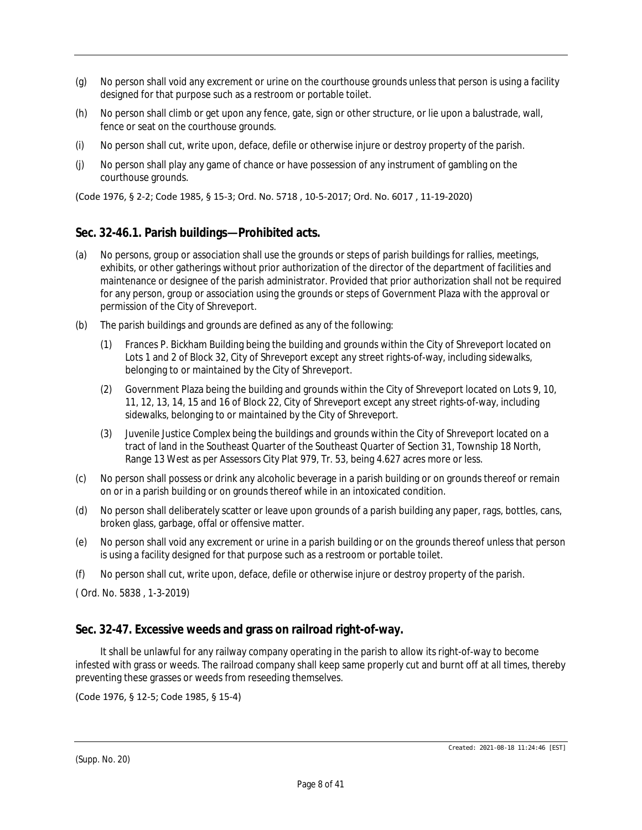- (g) No person shall void any excrement or urine on the courthouse grounds unless that person is using a facility designed for that purpose such as a restroom or portable toilet.
- (h) No person shall climb or get upon any fence, gate, sign or other structure, or lie upon a balustrade, wall, fence or seat on the courthouse grounds.
- (i) No person shall cut, write upon, deface, defile or otherwise injure or destroy property of the parish.
- (j) No person shall play any game of chance or have possession of any instrument of gambling on the courthouse grounds.

(Code 1976, § 2-2; Code 1985, § 15-3; Ord. No. 5718 , 10-5-2017; Ord. No. 6017 , 11-19-2020)

## **Sec. 32-46.1. Parish buildings—Prohibited acts.**

- (a) No persons, group or association shall use the grounds or steps of parish buildings for rallies, meetings, exhibits, or other gatherings without prior authorization of the director of the department of facilities and maintenance or designee of the parish administrator. Provided that prior authorization shall not be required for any person, group or association using the grounds or steps of Government Plaza with the approval or permission of the City of Shreveport.
- (b) The parish buildings and grounds are defined as any of the following:
	- (1) Frances P. Bickham Building being the building and grounds within the City of Shreveport located on Lots 1 and 2 of Block 32, City of Shreveport except any street rights-of-way, including sidewalks, belonging to or maintained by the City of Shreveport.
	- (2) Government Plaza being the building and grounds within the City of Shreveport located on Lots 9, 10, 11, 12, 13, 14, 15 and 16 of Block 22, City of Shreveport except any street rights-of-way, including sidewalks, belonging to or maintained by the City of Shreveport.
	- (3) Juvenile Justice Complex being the buildings and grounds within the City of Shreveport located on a tract of land in the Southeast Quarter of the Southeast Quarter of Section 31, Township 18 North, Range 13 West as per Assessors City Plat 979, Tr. 53, being 4.627 acres more or less.
- (c) No person shall possess or drink any alcoholic beverage in a parish building or on grounds thereof or remain on or in a parish building or on grounds thereof while in an intoxicated condition.
- (d) No person shall deliberately scatter or leave upon grounds of a parish building any paper, rags, bottles, cans, broken glass, garbage, offal or offensive matter.
- (e) No person shall void any excrement or urine in a parish building or on the grounds thereof unless that person is using a facility designed for that purpose such as a restroom or portable toilet.
- (f) No person shall cut, write upon, deface, defile or otherwise injure or destroy property of the parish.

( Ord. No. 5838 , 1-3-2019)

## **Sec. 32-47. Excessive weeds and grass on railroad right-of-way.**

It shall be unlawful for any railway company operating in the parish to allow its right-of-way to become infested with grass or weeds. The railroad company shall keep same properly cut and burnt off at all times, thereby preventing these grasses or weeds from reseeding themselves.

#### (Code 1976, § 12-5; Code 1985, § 15-4)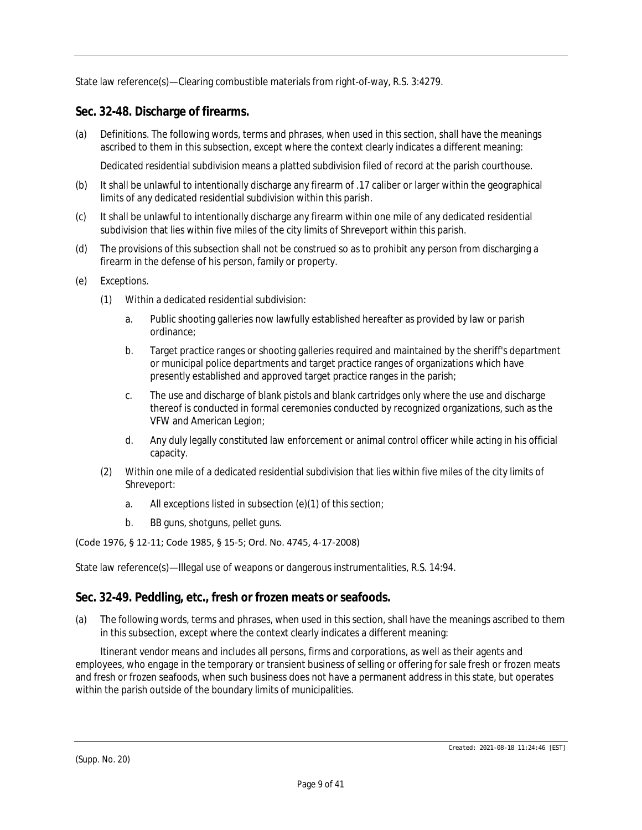State law reference(s)—Clearing combustible materials from right-of-way, R.S. 3:4279.

## **Sec. 32-48. Discharge of firearms.**

(a) Definitions. The following words, terms and phrases, when used in this section, shall have the meanings ascribed to them in this subsection, except where the context clearly indicates a different meaning:

*Dedicated residential subdivision* means a platted subdivision filed of record at the parish courthouse.

- (b) It shall be unlawful to intentionally discharge any firearm of .17 caliber or larger within the geographical limits of any dedicated residential subdivision within this parish.
- (c) It shall be unlawful to intentionally discharge any firearm within one mile of any dedicated residential subdivision that lies within five miles of the city limits of Shreveport within this parish.
- (d) The provisions of this subsection shall not be construed so as to prohibit any person from discharging a firearm in the defense of his person, family or property.
- (e) Exceptions.
	- (1) Within a dedicated residential subdivision:
		- a. Public shooting galleries now lawfully established hereafter as provided by law or parish ordinance;
		- b. Target practice ranges or shooting galleries required and maintained by the sheriff's department or municipal police departments and target practice ranges of organizations which have presently established and approved target practice ranges in the parish;
		- c. The use and discharge of blank pistols and blank cartridges only where the use and discharge thereof is conducted in formal ceremonies conducted by recognized organizations, such as the VFW and American Legion;
		- d. Any duly legally constituted law enforcement or animal control officer while acting in his official capacity.
	- (2) Within one mile of a dedicated residential subdivision that lies within five miles of the city limits of Shreveport:
		- a. All exceptions listed in subsection (e)(1) of this section;
		- b. BB guns, shotguns, pellet guns.

#### (Code 1976, § 12-11; Code 1985, § 15-5; Ord. No. 4745, 4-17-2008)

State law reference(s)—Illegal use of weapons or dangerous instrumentalities, R.S. 14:94.

## **Sec. 32-49. Peddling, etc., fresh or frozen meats or seafoods.**

(a) The following words, terms and phrases, when used in this section, shall have the meanings ascribed to them in this subsection, except where the context clearly indicates a different meaning:

*Itinerant vendor* means and includes all persons, firms and corporations, as well as their agents and employees, who engage in the temporary or transient business of selling or offering for sale fresh or frozen meats and fresh or frozen seafoods, when such business does not have a permanent address in this state, but operates within the parish outside of the boundary limits of municipalities.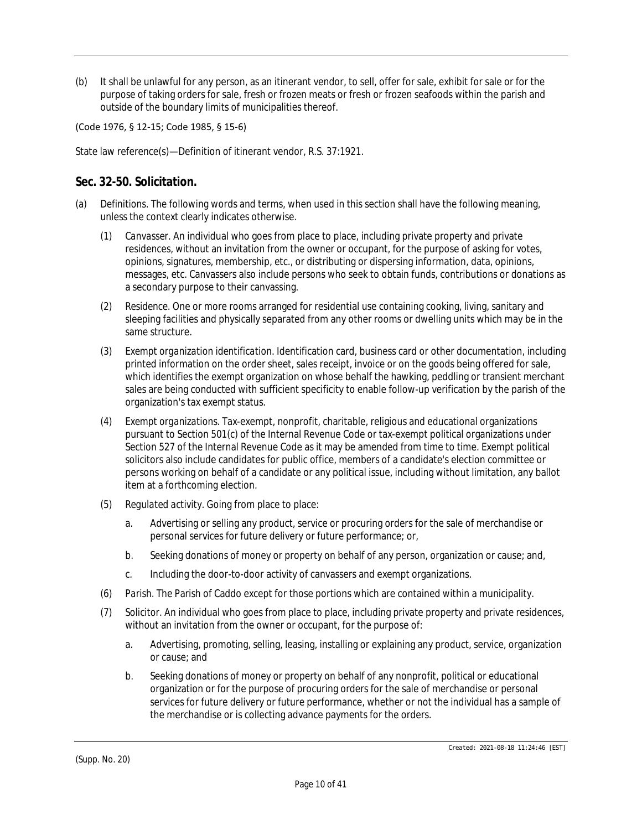(b) It shall be unlawful for any person, as an itinerant vendor, to sell, offer for sale, exhibit for sale or for the purpose of taking orders for sale, fresh or frozen meats or fresh or frozen seafoods within the parish and outside of the boundary limits of municipalities thereof.

(Code 1976, § 12-15; Code 1985, § 15-6)

State law reference(s)—Definition of itinerant vendor, R.S. 37:1921.

### **Sec. 32-50. Solicitation.**

- (a) *Definitions.* The following words and terms, when used in this section shall have the following meaning, unless the context clearly indicates otherwise.
	- (1) *Canvasser.* An individual who goes from place to place, including private property and private residences, without an invitation from the owner or occupant, for the purpose of asking for votes, opinions, signatures, membership, etc., or distributing or dispersing information, data, opinions, messages, etc. Canvassers also include persons who seek to obtain funds, contributions or donations as a secondary purpose to their canvassing.
	- (2) *Residence.* One or more rooms arranged for residential use containing cooking, living, sanitary and sleeping facilities and physically separated from any other rooms or dwelling units which may be in the same structure.
	- (3) *Exempt organization identification.* Identification card, business card or other documentation, including printed information on the order sheet, sales receipt, invoice or on the goods being offered for sale, which identifies the exempt organization on whose behalf the hawking, peddling or transient merchant sales are being conducted with sufficient specificity to enable follow-up verification by the parish of the organization's tax exempt status.
	- (4) *Exempt organizations.* Tax-exempt, nonprofit, charitable, religious and educational organizations pursuant to Section 501(c) of the Internal Revenue Code or tax-exempt political organizations under Section 527 of the Internal Revenue Code as it may be amended from time to time. Exempt political solicitors also include candidates for public office, members of a candidate's election committee or persons working on behalf of a candidate or any political issue, including without limitation, any ballot item at a forthcoming election.
	- (5) *Regulated activity.* Going from place to place:
		- a. Advertising or selling any product, service or procuring orders for the sale of merchandise or personal services for future delivery or future performance; or,
		- b. Seeking donations of money or property on behalf of any person, organization or cause; and,
		- c. Including the door-to-door activity of canvassers and exempt organizations.
	- (6) *Parish.* The Parish of Caddo except for those portions which are contained within a municipality.
	- (7) *Solicitor.* An individual who goes from place to place, including private property and private residences, without an invitation from the owner or occupant, for the purpose of:
		- a. Advertising, promoting, selling, leasing, installing or explaining any product, service, organization or cause; and
		- b. Seeking donations of money or property on behalf of any nonprofit, political or educational organization or for the purpose of procuring orders for the sale of merchandise or personal services for future delivery or future performance, whether or not the individual has a sample of the merchandise or is collecting advance payments for the orders.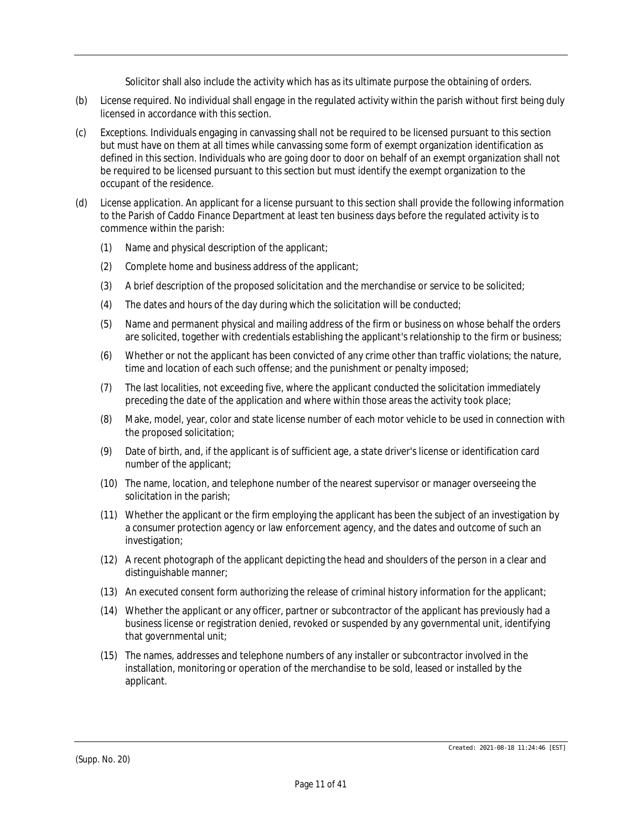Solicitor shall also include the activity which has as its ultimate purpose the obtaining of orders.

- (b) *License required.* No individual shall engage in the regulated activity within the parish without first being duly licensed in accordance with this section.
- (c) *Exceptions.* Individuals engaging in canvassing shall not be required to be licensed pursuant to this section but must have on them at all times while canvassing some form of exempt organization identification as defined in this section. Individuals who are going door to door on behalf of an exempt organization shall not be required to be licensed pursuant to this section but must identify the exempt organization to the occupant of the residence.
- (d) *License application.* An applicant for a license pursuant to this section shall provide the following information to the Parish of Caddo Finance Department at least ten business days before the regulated activity is to commence within the parish:
	- (1) Name and physical description of the applicant;
	- (2) Complete home and business address of the applicant;
	- (3) A brief description of the proposed solicitation and the merchandise or service to be solicited;
	- (4) The dates and hours of the day during which the solicitation will be conducted;
	- (5) Name and permanent physical and mailing address of the firm or business on whose behalf the orders are solicited, together with credentials establishing the applicant's relationship to the firm or business;
	- (6) Whether or not the applicant has been convicted of any crime other than traffic violations; the nature, time and location of each such offense; and the punishment or penalty imposed;
	- (7) The last localities, not exceeding five, where the applicant conducted the solicitation immediately preceding the date of the application and where within those areas the activity took place;
	- (8) Make, model, year, color and state license number of each motor vehicle to be used in connection with the proposed solicitation;
	- (9) Date of birth, and, if the applicant is of sufficient age, a state driver's license or identification card number of the applicant;
	- (10) The name, location, and telephone number of the nearest supervisor or manager overseeing the solicitation in the parish;
	- (11) Whether the applicant or the firm employing the applicant has been the subject of an investigation by a consumer protection agency or law enforcement agency, and the dates and outcome of such an investigation;
	- (12) A recent photograph of the applicant depicting the head and shoulders of the person in a clear and distinguishable manner;
	- (13) An executed consent form authorizing the release of criminal history information for the applicant;
	- (14) Whether the applicant or any officer, partner or subcontractor of the applicant has previously had a business license or registration denied, revoked or suspended by any governmental unit, identifying that governmental unit;
	- (15) The names, addresses and telephone numbers of any installer or subcontractor involved in the installation, monitoring or operation of the merchandise to be sold, leased or installed by the applicant.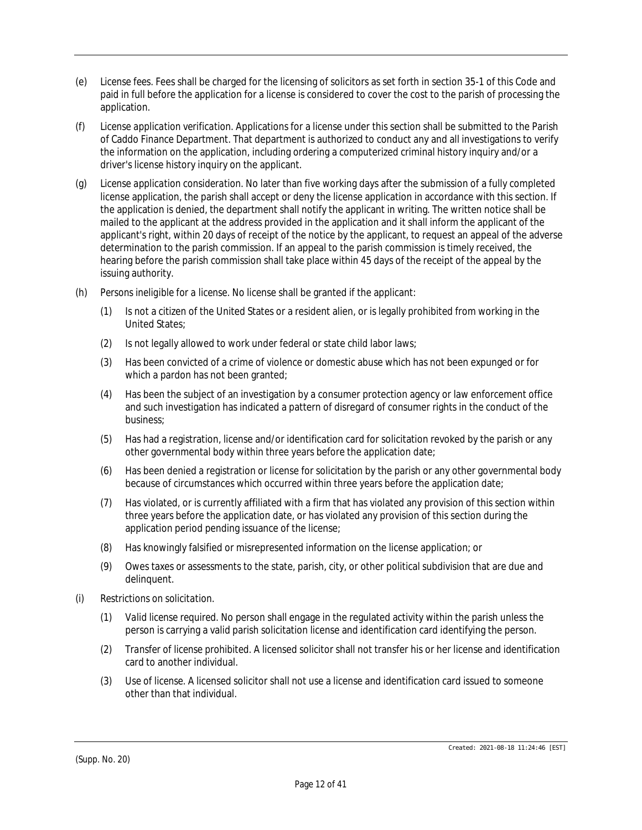- (e) *License fees.* Fees shall be charged for the licensing of solicitors as set forth in section 35-1 of this Code and paid in full before the application for a license is considered to cover the cost to the parish of processing the application.
- (f) *License application verification.* Applications for a license under this section shall be submitted to the Parish of Caddo Finance Department. That department is authorized to conduct any and all investigations to verify the information on the application, including ordering a computerized criminal history inquiry and/or a driver's license history inquiry on the applicant.
- (g) *License application consideration.* No later than five working days after the submission of a fully completed license application, the parish shall accept or deny the license application in accordance with this section. If the application is denied, the department shall notify the applicant in writing. The written notice shall be mailed to the applicant at the address provided in the application and it shall inform the applicant of the applicant's right, within 20 days of receipt of the notice by the applicant, to request an appeal of the adverse determination to the parish commission. If an appeal to the parish commission is timely received, the hearing before the parish commission shall take place within 45 days of the receipt of the appeal by the issuing authority.
- (h) *Persons ineligible for a license.* No license shall be granted if the applicant:
	- (1) Is not a citizen of the United States or a resident alien, or is legally prohibited from working in the United States;
	- (2) Is not legally allowed to work under federal or state child labor laws;
	- (3) Has been convicted of a crime of violence or domestic abuse which has not been expunged or for which a pardon has not been granted;
	- (4) Has been the subject of an investigation by a consumer protection agency or law enforcement office and such investigation has indicated a pattern of disregard of consumer rights in the conduct of the business;
	- (5) Has had a registration, license and/or identification card for solicitation revoked by the parish or any other governmental body within three years before the application date;
	- (6) Has been denied a registration or license for solicitation by the parish or any other governmental body because of circumstances which occurred within three years before the application date;
	- (7) Has violated, or is currently affiliated with a firm that has violated any provision of this section within three years before the application date, or has violated any provision of this section during the application period pending issuance of the license;
	- (8) Has knowingly falsified or misrepresented information on the license application; or
	- (9) Owes taxes or assessments to the state, parish, city, or other political subdivision that are due and delinquent.
- (i) *Restrictions on solicitation.*
	- (1) *Valid license required.* No person shall engage in the regulated activity within the parish unless the person is carrying a valid parish solicitation license and identification card identifying the person.
	- (2) *Transfer of license prohibited.* A licensed solicitor shall not transfer his or her license and identification card to another individual.
	- (3) *Use of license.* A licensed solicitor shall not use a license and identification card issued to someone other than that individual.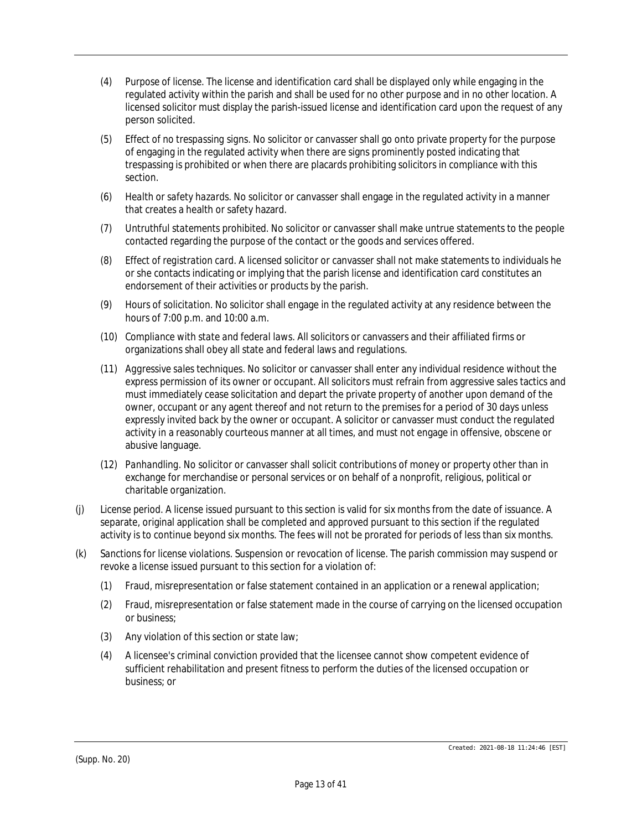- (4) *Purpose of license.* The license and identification card shall be displayed only while engaging in the regulated activity within the parish and shall be used for no other purpose and in no other location. A licensed solicitor must display the parish-issued license and identification card upon the request of any person solicited.
- (5) *Effect of no trespassing signs.* No solicitor or canvasser shall go onto private property for the purpose of engaging in the regulated activity when there are signs prominently posted indicating that trespassing is prohibited or when there are placards prohibiting solicitors in compliance with this section.
- (6) *Health or safety hazards.* No solicitor or canvasser shall engage in the regulated activity in a manner that creates a health or safety hazard.
- (7) *Untruthful statements prohibited.* No solicitor or canvasser shall make untrue statements to the people contacted regarding the purpose of the contact or the goods and services offered.
- (8) *Effect of registration card.* A licensed solicitor or canvasser shall not make statements to individuals he or she contacts indicating or implying that the parish license and identification card constitutes an endorsement of their activities or products by the parish.
- (9) *Hours of solicitation.* No solicitor shall engage in the regulated activity at any residence between the hours of 7:00 p.m. and 10:00 a.m.
- (10) *Compliance with state and federal laws.* All solicitors or canvassers and their affiliated firms or organizations shall obey all state and federal laws and regulations.
- (11) *Aggressive sales techniques.* No solicitor or canvasser shall enter any individual residence without the express permission of its owner or occupant. All solicitors must refrain from aggressive sales tactics and must immediately cease solicitation and depart the private property of another upon demand of the owner, occupant or any agent thereof and not return to the premises for a period of 30 days unless expressly invited back by the owner or occupant. A solicitor or canvasser must conduct the regulated activity in a reasonably courteous manner at all times, and must not engage in offensive, obscene or abusive language.
- (12) *Panhandling.* No solicitor or canvasser shall solicit contributions of money or property other than in exchange for merchandise or personal services or on behalf of a nonprofit, religious, political or charitable organization.
- (j) *License period.* A license issued pursuant to this section is valid for six months from the date of issuance. A separate, original application shall be completed and approved pursuant to this section if the regulated activity is to continue beyond six months. The fees will not be prorated for periods of less than six months.
- (k) *Sanctions for license violations.* Suspension or revocation of license. The parish commission may suspend or revoke a license issued pursuant to this section for a violation of:
	- (1) Fraud, misrepresentation or false statement contained in an application or a renewal application;
	- (2) Fraud, misrepresentation or false statement made in the course of carrying on the licensed occupation or business;
	- (3) Any violation of this section or state law;
	- (4) A licensee's criminal conviction provided that the licensee cannot show competent evidence of sufficient rehabilitation and present fitness to perform the duties of the licensed occupation or business; or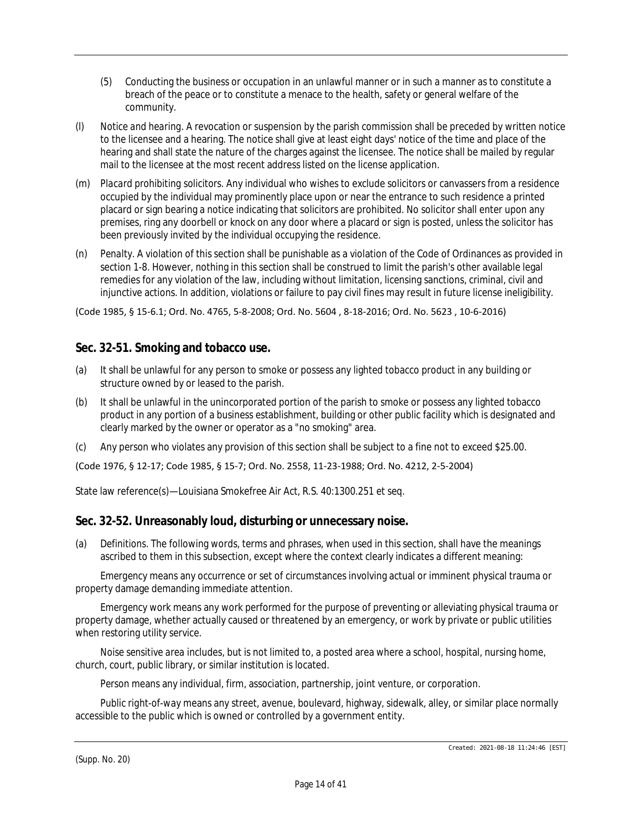- (5) Conducting the business or occupation in an unlawful manner or in such a manner as to constitute a breach of the peace or to constitute a menace to the health, safety or general welfare of the community.
- (l) *Notice and hearing.* A revocation or suspension by the parish commission shall be preceded by written notice to the licensee and a hearing. The notice shall give at least eight days' notice of the time and place of the hearing and shall state the nature of the charges against the licensee. The notice shall be mailed by regular mail to the licensee at the most recent address listed on the license application.
- (m) *Placard prohibiting solicitors.* Any individual who wishes to exclude solicitors or canvassers from a residence occupied by the individual may prominently place upon or near the entrance to such residence a printed placard or sign bearing a notice indicating that solicitors are prohibited. No solicitor shall enter upon any premises, ring any doorbell or knock on any door where a placard or sign is posted, unless the solicitor has been previously invited by the individual occupying the residence.
- (n) *Penalty.* A violation of this section shall be punishable as a violation of the Code of Ordinances as provided in section 1-8. However, nothing in this section shall be construed to limit the parish's other available legal remedies for any violation of the law, including without limitation, licensing sanctions, criminal, civil and injunctive actions. In addition, violations or failure to pay civil fines may result in future license ineligibility.

(Code 1985, § 15-6.1; Ord. No. 4765, 5-8-2008; Ord. No. 5604 , 8-18-2016; Ord. No. 5623 , 10-6-2016)

### **Sec. 32-51. Smoking and tobacco use.**

- (a) It shall be unlawful for any person to smoke or possess any lighted tobacco product in any building or structure owned by or leased to the parish.
- (b) It shall be unlawful in the unincorporated portion of the parish to smoke or possess any lighted tobacco product in any portion of a business establishment, building or other public facility which is designated and clearly marked by the owner or operator as a "no smoking" area.
- (c) Any person who violates any provision of this section shall be subject to a fine not to exceed \$25.00.

(Code 1976, § 12-17; Code 1985, § 15-7; Ord. No. 2558, 11-23-1988; Ord. No. 4212, 2-5-2004)

State law reference(s)—Louisiana Smokefree Air Act, R.S. 40:1300.251 et seq.

### **Sec. 32-52. Unreasonably loud, disturbing or unnecessary noise.**

(a) *Definitions.* The following words, terms and phrases, when used in this section, shall have the meanings ascribed to them in this subsection, except where the context clearly indicates a different meaning:

*Emergency* means any occurrence or set of circumstances involving actual or imminent physical trauma or property damage demanding immediate attention.

*Emergency work* means any work performed for the purpose of preventing or alleviating physical trauma or property damage, whether actually caused or threatened by an emergency, or work by private or public utilities when restoring utility service.

*Noise sensitive area* includes, but is not limited to, a posted area where a school, hospital, nursing home, church, court, public library, or similar institution is located.

*Person* means any individual, firm, association, partnership, joint venture, or corporation.

*Public right-of-way* means any street, avenue, boulevard, highway, sidewalk, alley, or similar place normally accessible to the public which is owned or controlled by a government entity.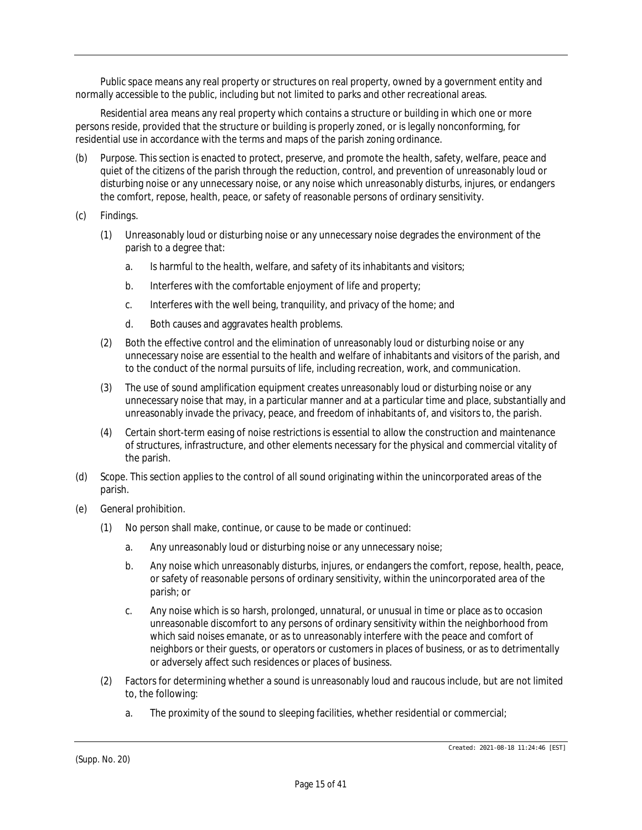*Public space* means any real property or structures on real property, owned by a government entity and normally accessible to the public, including but not limited to parks and other recreational areas.

*Residential area* means any real property which contains a structure or building in which one or more persons reside, provided that the structure or building is properly zoned, or is legally nonconforming, for residential use in accordance with the terms and maps of the parish zoning ordinance.

- (b) *Purpose.* This section is enacted to protect, preserve, and promote the health, safety, welfare, peace and quiet of the citizens of the parish through the reduction, control, and prevention of unreasonably loud or disturbing noise or any unnecessary noise, or any noise which unreasonably disturbs, injures, or endangers the comfort, repose, health, peace, or safety of reasonable persons of ordinary sensitivity.
- (c) *Findings.*
	- (1) Unreasonably loud or disturbing noise or any unnecessary noise degrades the environment of the parish to a degree that:
		- a. Is harmful to the health, welfare, and safety of its inhabitants and visitors;
		- b. Interferes with the comfortable enjoyment of life and property;
		- c. Interferes with the well being, tranquility, and privacy of the home; and
		- d. Both causes and aggravates health problems.
	- (2) Both the effective control and the elimination of unreasonably loud or disturbing noise or any unnecessary noise are essential to the health and welfare of inhabitants and visitors of the parish, and to the conduct of the normal pursuits of life, including recreation, work, and communication.
	- (3) The use of sound amplification equipment creates unreasonably loud or disturbing noise or any unnecessary noise that may, in a particular manner and at a particular time and place, substantially and unreasonably invade the privacy, peace, and freedom of inhabitants of, and visitors to, the parish.
	- (4) Certain short-term easing of noise restrictions is essential to allow the construction and maintenance of structures, infrastructure, and other elements necessary for the physical and commercial vitality of the parish.
- (d) *Scope.* This section applies to the control of all sound originating within the unincorporated areas of the parish.
- (e) *General prohibition.*
	- (1) No person shall make, continue, or cause to be made or continued:
		- a. Any unreasonably loud or disturbing noise or any unnecessary noise;
		- b. Any noise which unreasonably disturbs, injures, or endangers the comfort, repose, health, peace, or safety of reasonable persons of ordinary sensitivity, within the unincorporated area of the parish; or
		- c. Any noise which is so harsh, prolonged, unnatural, or unusual in time or place as to occasion unreasonable discomfort to any persons of ordinary sensitivity within the neighborhood from which said noises emanate, or as to unreasonably interfere with the peace and comfort of neighbors or their guests, or operators or customers in places of business, or as to detrimentally or adversely affect such residences or places of business.
	- (2) Factors for determining whether a sound is unreasonably loud and raucous include, but are not limited to, the following:
		- a. The proximity of the sound to sleeping facilities, whether residential or commercial;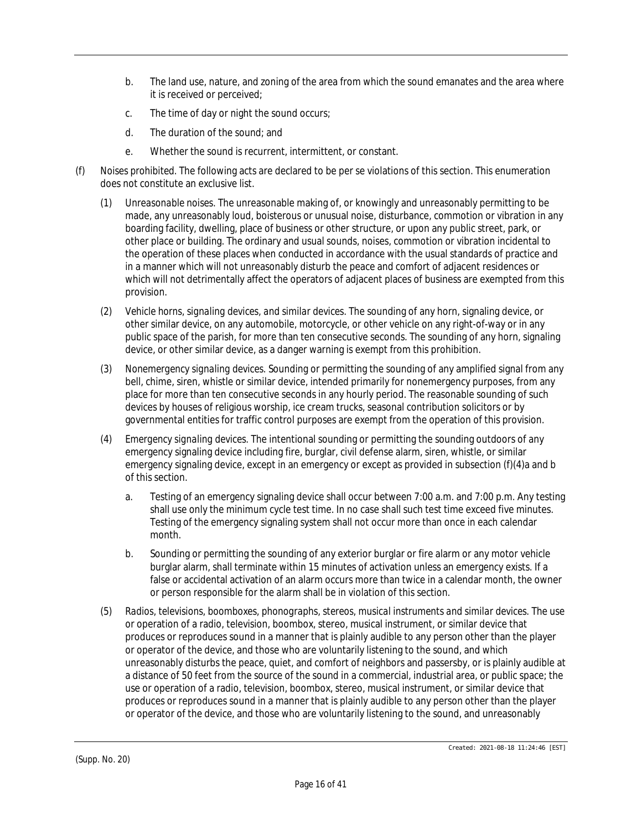- b. The land use, nature, and zoning of the area from which the sound emanates and the area where it is received or perceived;
- c. The time of day or night the sound occurs;
- d. The duration of the sound; and
- e. Whether the sound is recurrent, intermittent, or constant.
- (f) *Noises prohibited.* The following acts are declared to be per se violations of this section. This enumeration does not constitute an exclusive list.
	- (1) *Unreasonable noises.* The unreasonable making of, or knowingly and unreasonably permitting to be made, any unreasonably loud, boisterous or unusual noise, disturbance, commotion or vibration in any boarding facility, dwelling, place of business or other structure, or upon any public street, park, or other place or building. The ordinary and usual sounds, noises, commotion or vibration incidental to the operation of these places when conducted in accordance with the usual standards of practice and in a manner which will not unreasonably disturb the peace and comfort of adjacent residences or which will not detrimentally affect the operators of adjacent places of business are exempted from this provision.
	- (2) *Vehicle horns, signaling devices, and similar devices.* The sounding of any horn, signaling device, or other similar device, on any automobile, motorcycle, or other vehicle on any right-of-way or in any public space of the parish, for more than ten consecutive seconds. The sounding of any horn, signaling device, or other similar device, as a danger warning is exempt from this prohibition.
	- (3) *Nonemergency signaling devices.* Sounding or permitting the sounding of any amplified signal from any bell, chime, siren, whistle or similar device, intended primarily for nonemergency purposes, from any place for more than ten consecutive seconds in any hourly period. The reasonable sounding of such devices by houses of religious worship, ice cream trucks, seasonal contribution solicitors or by governmental entities for traffic control purposes are exempt from the operation of this provision.
	- (4) *Emergency signaling devices.* The intentional sounding or permitting the sounding outdoors of any emergency signaling device including fire, burglar, civil defense alarm, siren, whistle, or similar emergency signaling device, except in an emergency or except as provided in subsection (f)(4)a and b of this section.
		- a. Testing of an emergency signaling device shall occur between 7:00 a.m. and 7:00 p.m. Any testing shall use only the minimum cycle test time. In no case shall such test time exceed five minutes. Testing of the emergency signaling system shall not occur more than once in each calendar month.
		- b. Sounding or permitting the sounding of any exterior burglar or fire alarm or any motor vehicle burglar alarm, shall terminate within 15 minutes of activation unless an emergency exists. If a false or accidental activation of an alarm occurs more than twice in a calendar month, the owner or person responsible for the alarm shall be in violation of this section.
	- (5) *Radios, televisions, boomboxes, phonographs, stereos, musical instruments and similar devices.* The use or operation of a radio, television, boombox, stereo, musical instrument, or similar device that produces or reproduces sound in a manner that is plainly audible to any person other than the player or operator of the device, and those who are voluntarily listening to the sound, and which unreasonably disturbs the peace, quiet, and comfort of neighbors and passersby, or is plainly audible at a distance of 50 feet from the source of the sound in a commercial, industrial area, or public space; the use or operation of a radio, television, boombox, stereo, musical instrument, or similar device that produces or reproduces sound in a manner that is plainly audible to any person other than the player or operator of the device, and those who are voluntarily listening to the sound, and unreasonably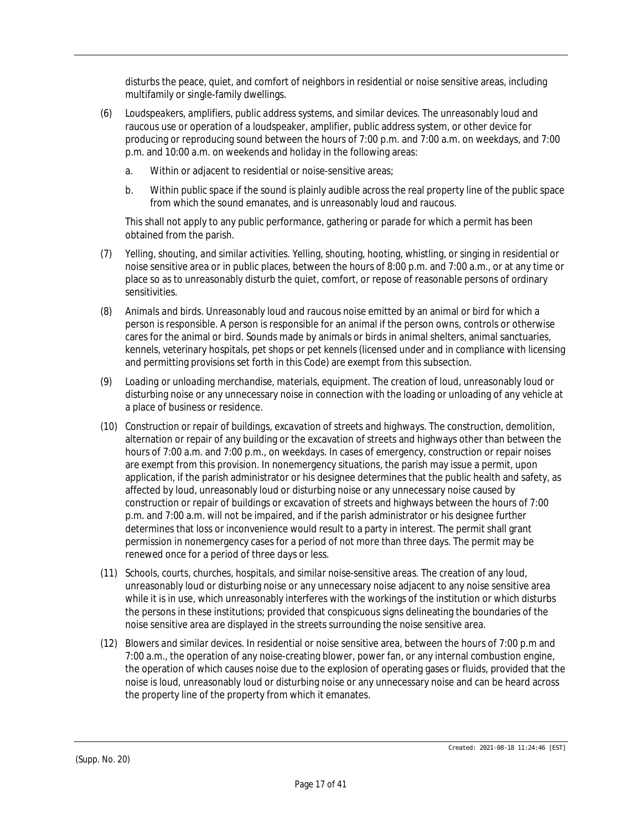disturbs the peace, quiet, and comfort of neighbors in residential or noise sensitive areas, including multifamily or single-family dwellings.

- (6) *Loudspeakers, amplifiers, public address systems, and similar devices.* The unreasonably loud and raucous use or operation of a loudspeaker, amplifier, public address system, or other device for producing or reproducing sound between the hours of 7:00 p.m. and 7:00 a.m. on weekdays, and 7:00 p.m. and 10:00 a.m. on weekends and holiday in the following areas:
	- a. Within or adjacent to residential or noise-sensitive areas;
	- b. Within public space if the sound is plainly audible across the real property line of the public space from which the sound emanates, and is unreasonably loud and raucous.

This shall not apply to any public performance, gathering or parade for which a permit has been obtained from the parish.

- (7) *Yelling, shouting, and similar activities.* Yelling, shouting, hooting, whistling, or singing in residential or noise sensitive area or in public places, between the hours of 8:00 p.m. and 7:00 a.m., or at any time or place so as to unreasonably disturb the quiet, comfort, or repose of reasonable persons of ordinary sensitivities.
- (8) *Animals and birds.* Unreasonably loud and raucous noise emitted by an animal or bird for which a person is responsible. A person is responsible for an animal if the person owns, controls or otherwise cares for the animal or bird. Sounds made by animals or birds in animal shelters, animal sanctuaries, kennels, veterinary hospitals, pet shops or pet kennels (licensed under and in compliance with licensing and permitting provisions set forth in this Code) are exempt from this subsection.
- (9) *Loading or unloading merchandise, materials, equipment.* The creation of loud, unreasonably loud or disturbing noise or any unnecessary noise in connection with the loading or unloading of any vehicle at a place of business or residence.
- (10) *Construction or repair of buildings, excavation of streets and highways.* The construction, demolition, alternation or repair of any building or the excavation of streets and highways other than between the hours of 7:00 a.m. and 7:00 p.m., on weekdays. In cases of emergency, construction or repair noises are exempt from this provision. In nonemergency situations, the parish may issue a permit, upon application, if the parish administrator or his designee determines that the public health and safety, as affected by loud, unreasonably loud or disturbing noise or any unnecessary noise caused by construction or repair of buildings or excavation of streets and highways between the hours of 7:00 p.m. and 7:00 a.m. will not be impaired, and if the parish administrator or his designee further determines that loss or inconvenience would result to a party in interest. The permit shall grant permission in nonemergency cases for a period of not more than three days. The permit may be renewed once for a period of three days or less.
- (11) *Schools, courts, churches, hospitals, and similar noise-sensitive areas.* The creation of any loud, unreasonably loud or disturbing noise or any unnecessary noise adjacent to any noise sensitive area while it is in use, which unreasonably interferes with the workings of the institution or which disturbs the persons in these institutions; provided that conspicuous signs delineating the boundaries of the noise sensitive area are displayed in the streets surrounding the noise sensitive area.
- (12) *Blowers and similar devices.* In residential or noise sensitive area, between the hours of 7:00 p.m and 7:00 a.m., the operation of any noise-creating blower, power fan, or any internal combustion engine, the operation of which causes noise due to the explosion of operating gases or fluids, provided that the noise is loud, unreasonably loud or disturbing noise or any unnecessary noise and can be heard across the property line of the property from which it emanates.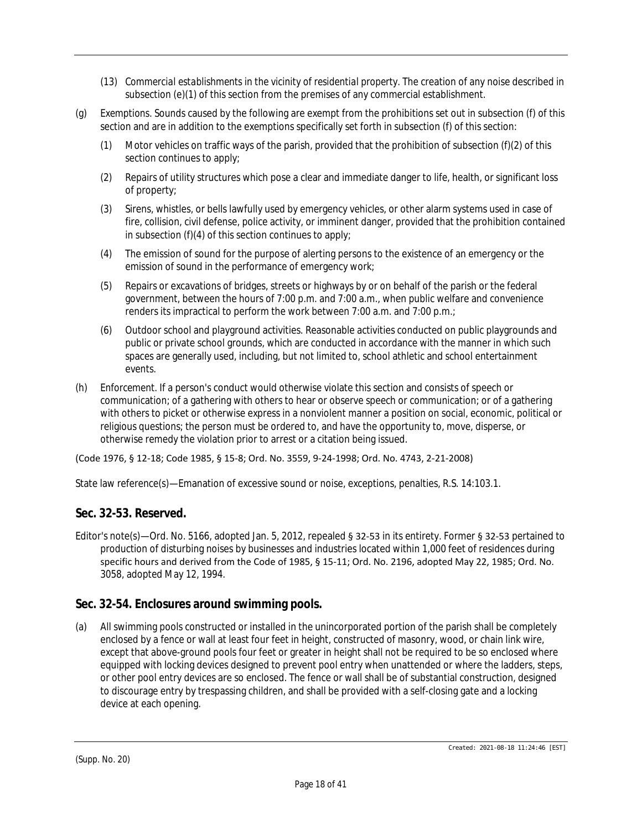- (13) *Commercial establishments in the vicinity of residential property.* The creation of any noise described in subsection (e)(1) of this section from the premises of any commercial establishment.
- (g) *Exemptions.* Sounds caused by the following are exempt from the prohibitions set out in subsection (f) of this section and are in addition to the exemptions specifically set forth in subsection (f) of this section:
	- (1) Motor vehicles on traffic ways of the parish, provided that the prohibition of subsection (f)(2) of this section continues to apply;
	- (2) Repairs of utility structures which pose a clear and immediate danger to life, health, or significant loss of property;
	- (3) Sirens, whistles, or bells lawfully used by emergency vehicles, or other alarm systems used in case of fire, collision, civil defense, police activity, or imminent danger, provided that the prohibition contained in subsection (f)(4) of this section continues to apply;
	- (4) The emission of sound for the purpose of alerting persons to the existence of an emergency or the emission of sound in the performance of emergency work;
	- (5) Repairs or excavations of bridges, streets or highways by or on behalf of the parish or the federal government, between the hours of 7:00 p.m. and 7:00 a.m., when public welfare and convenience renders its impractical to perform the work between 7:00 a.m. and 7:00 p.m.;
	- (6) Outdoor school and playground activities. Reasonable activities conducted on public playgrounds and public or private school grounds, which are conducted in accordance with the manner in which such spaces are generally used, including, but not limited to, school athletic and school entertainment events.
- (h) *Enforcement.* If a person's conduct would otherwise violate this section and consists of speech or communication; of a gathering with others to hear or observe speech or communication; or of a gathering with others to picket or otherwise express in a nonviolent manner a position on social, economic, political or religious questions; the person must be ordered to, and have the opportunity to, move, disperse, or otherwise remedy the violation prior to arrest or a citation being issued.

(Code 1976, § 12-18; Code 1985, § 15-8; Ord. No. 3559, 9-24-1998; Ord. No. 4743, 2-21-2008)

State law reference(s)—Emanation of excessive sound or noise, exceptions, penalties, R.S. 14:103.1.

## **Sec. 32-53. Reserved.**

Editor's note(s)—Ord. No. 5166, adopted Jan. 5, 2012, repealed § 32-53 in its entirety. Former § 32-53 pertained to production of disturbing noises by businesses and industries located within 1,000 feet of residences during specific hours and derived from the Code of 1985, § 15-11; Ord. No. 2196, adopted May 22, 1985; Ord. No. 3058, adopted May 12, 1994.

### **Sec. 32-54. Enclosures around swimming pools.**

(a) All swimming pools constructed or installed in the unincorporated portion of the parish shall be completely enclosed by a fence or wall at least four feet in height, constructed of masonry, wood, or chain link wire, except that above-ground pools four feet or greater in height shall not be required to be so enclosed where equipped with locking devices designed to prevent pool entry when unattended or where the ladders, steps, or other pool entry devices are so enclosed. The fence or wall shall be of substantial construction, designed to discourage entry by trespassing children, and shall be provided with a self-closing gate and a locking device at each opening.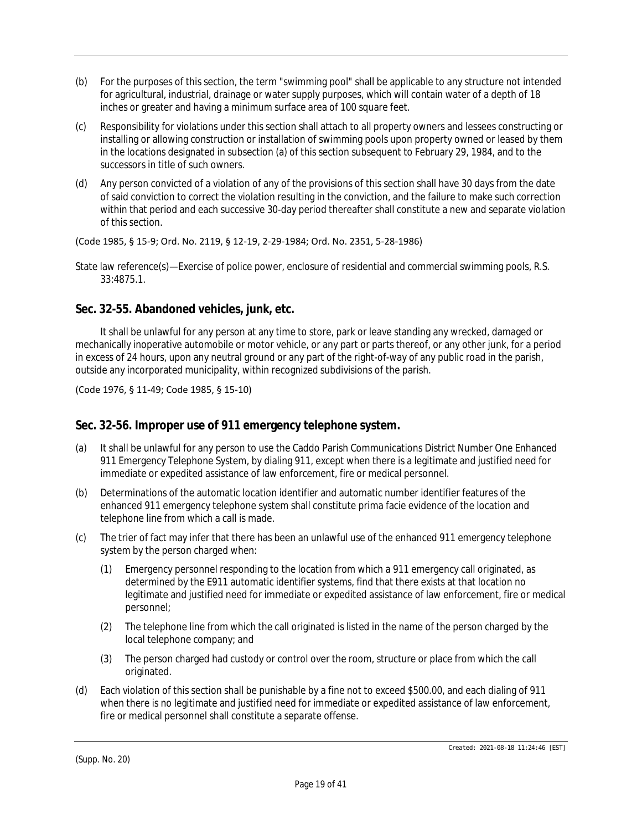- (b) For the purposes of this section, the term "swimming pool" shall be applicable to any structure not intended for agricultural, industrial, drainage or water supply purposes, which will contain water of a depth of 18 inches or greater and having a minimum surface area of 100 square feet.
- (c) Responsibility for violations under this section shall attach to all property owners and lessees constructing or installing or allowing construction or installation of swimming pools upon property owned or leased by them in the locations designated in subsection (a) of this section subsequent to February 29, 1984, and to the successors in title of such owners.
- (d) Any person convicted of a violation of any of the provisions of this section shall have 30 days from the date of said conviction to correct the violation resulting in the conviction, and the failure to make such correction within that period and each successive 30-day period thereafter shall constitute a new and separate violation of this section.

(Code 1985, § 15-9; Ord. No. 2119, § 12-19, 2-29-1984; Ord. No. 2351, 5-28-1986)

State law reference(s)—Exercise of police power, enclosure of residential and commercial swimming pools, R.S. 33:4875.1.

## **Sec. 32-55. Abandoned vehicles, junk, etc.**

It shall be unlawful for any person at any time to store, park or leave standing any wrecked, damaged or mechanically inoperative automobile or motor vehicle, or any part or parts thereof, or any other junk, for a period in excess of 24 hours, upon any neutral ground or any part of the right-of-way of any public road in the parish, outside any incorporated municipality, within recognized subdivisions of the parish.

(Code 1976, § 11-49; Code 1985, § 15-10)

### **Sec. 32-56. Improper use of 911 emergency telephone system.**

- (a) It shall be unlawful for any person to use the Caddo Parish Communications District Number One Enhanced 911 Emergency Telephone System, by dialing 911, except when there is a legitimate and justified need for immediate or expedited assistance of law enforcement, fire or medical personnel.
- (b) Determinations of the automatic location identifier and automatic number identifier features of the enhanced 911 emergency telephone system shall constitute prima facie evidence of the location and telephone line from which a call is made.
- (c) The trier of fact may infer that there has been an unlawful use of the enhanced 911 emergency telephone system by the person charged when:
	- (1) Emergency personnel responding to the location from which a 911 emergency call originated, as determined by the E911 automatic identifier systems, find that there exists at that location no legitimate and justified need for immediate or expedited assistance of law enforcement, fire or medical personnel;
	- (2) The telephone line from which the call originated is listed in the name of the person charged by the local telephone company; and
	- (3) The person charged had custody or control over the room, structure or place from which the call originated.
- (d) Each violation of this section shall be punishable by a fine not to exceed \$500.00, and each dialing of 911 when there is no legitimate and justified need for immediate or expedited assistance of law enforcement, fire or medical personnel shall constitute a separate offense.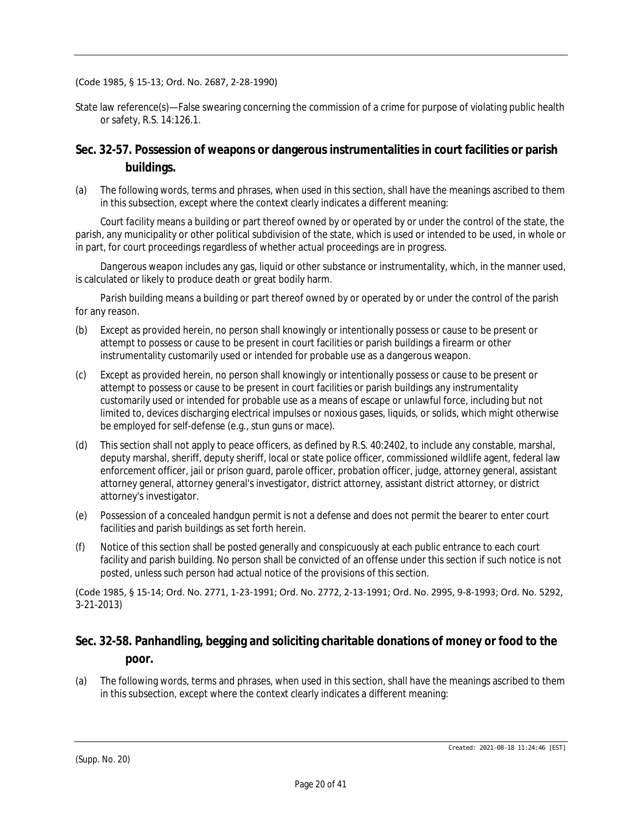#### (Code 1985, § 15-13; Ord. No. 2687, 2-28-1990)

State law reference(s)—False swearing concerning the commission of a crime for purpose of violating public health or safety, R.S. 14:126.1.

## **Sec. 32-57. Possession of weapons or dangerous instrumentalities in court facilities or parish buildings.**

(a) The following words, terms and phrases, when used in this section, shall have the meanings ascribed to them in this subsection, except where the context clearly indicates a different meaning:

*Court facility* means a building or part thereof owned by or operated by or under the control of the state, the parish, any municipality or other political subdivision of the state, which is used or intended to be used, in whole or in part, for court proceedings regardless of whether actual proceedings are in progress.

*Dangerous weapon* includes any gas, liquid or other substance or instrumentality, which, in the manner used, is calculated or likely to produce death or great bodily harm.

*Parish building* means a building or part thereof owned by or operated by or under the control of the parish for any reason.

- (b) Except as provided herein, no person shall knowingly or intentionally possess or cause to be present or attempt to possess or cause to be present in court facilities or parish buildings a firearm or other instrumentality customarily used or intended for probable use as a dangerous weapon.
- (c) Except as provided herein, no person shall knowingly or intentionally possess or cause to be present or attempt to possess or cause to be present in court facilities or parish buildings any instrumentality customarily used or intended for probable use as a means of escape or unlawful force, including but not limited to, devices discharging electrical impulses or noxious gases, liquids, or solids, which might otherwise be employed for self-defense (e.g., stun guns or mace).
- (d) This section shall not apply to peace officers, as defined by R.S. 40:2402, to include any constable, marshal, deputy marshal, sheriff, deputy sheriff, local or state police officer, commissioned wildlife agent, federal law enforcement officer, jail or prison guard, parole officer, probation officer, judge, attorney general, assistant attorney general, attorney general's investigator, district attorney, assistant district attorney, or district attorney's investigator.
- (e) Possession of a concealed handgun permit is not a defense and does not permit the bearer to enter court facilities and parish buildings as set forth herein.
- (f) Notice of this section shall be posted generally and conspicuously at each public entrance to each court facility and parish building. No person shall be convicted of an offense under this section if such notice is not posted, unless such person had actual notice of the provisions of this section.

(Code 1985, § 15-14; Ord. No. 2771, 1-23-1991; Ord. No. 2772, 2-13-1991; Ord. No. 2995, 9-8-1993; Ord. No. 5292, 3-21-2013)

## **Sec. 32-58. Panhandling, begging and soliciting charitable donations of money or food to the poor.**

(a) The following words, terms and phrases, when used in this section, shall have the meanings ascribed to them in this subsection, except where the context clearly indicates a different meaning: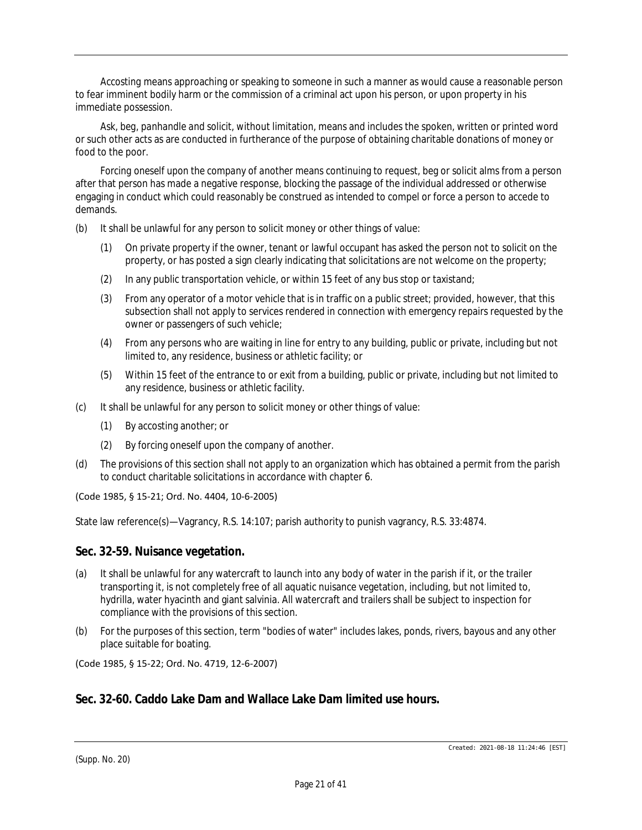*Accosting* means approaching or speaking to someone in such a manner as would cause a reasonable person to fear imminent bodily harm or the commission of a criminal act upon his person, or upon property in his immediate possession.

*Ask, beg, panhandle and solicit,* without limitation, means and includes the spoken, written or printed word or such other acts as are conducted in furtherance of the purpose of obtaining charitable donations of money or food to the poor.

*Forcing oneself upon the company of another* means continuing to request, beg or solicit alms from a person after that person has made a negative response, blocking the passage of the individual addressed or otherwise engaging in conduct which could reasonably be construed as intended to compel or force a person to accede to demands.

- (b) It shall be unlawful for any person to solicit money or other things of value:
	- (1) On private property if the owner, tenant or lawful occupant has asked the person not to solicit on the property, or has posted a sign clearly indicating that solicitations are not welcome on the property;
	- (2) In any public transportation vehicle, or within 15 feet of any bus stop or taxistand;
	- (3) From any operator of a motor vehicle that is in traffic on a public street; provided, however, that this subsection shall not apply to services rendered in connection with emergency repairs requested by the owner or passengers of such vehicle;
	- (4) From any persons who are waiting in line for entry to any building, public or private, including but not limited to, any residence, business or athletic facility; or
	- (5) Within 15 feet of the entrance to or exit from a building, public or private, including but not limited to any residence, business or athletic facility.
- (c) It shall be unlawful for any person to solicit money or other things of value:
	- (1) By accosting another; or
	- (2) By forcing oneself upon the company of another.
- (d) The provisions of this section shall not apply to an organization which has obtained a permit from the parish to conduct charitable solicitations in accordance with chapter 6.

#### (Code 1985, § 15-21; Ord. No. 4404, 10-6-2005)

State law reference(s)—Vagrancy, R.S. 14:107; parish authority to punish vagrancy, R.S. 33:4874.

#### **Sec. 32-59. Nuisance vegetation.**

- (a) It shall be unlawful for any watercraft to launch into any body of water in the parish if it, or the trailer transporting it, is not completely free of all aquatic nuisance vegetation, including, but not limited to, hydrilla, water hyacinth and giant salvinia. All watercraft and trailers shall be subject to inspection for compliance with the provisions of this section.
- (b) For the purposes of this section, term "bodies of water" includes lakes, ponds, rivers, bayous and any other place suitable for boating.

(Code 1985, § 15-22; Ord. No. 4719, 12-6-2007)

### **Sec. 32-60. Caddo Lake Dam and Wallace Lake Dam limited use hours.**

(Supp. No. 20)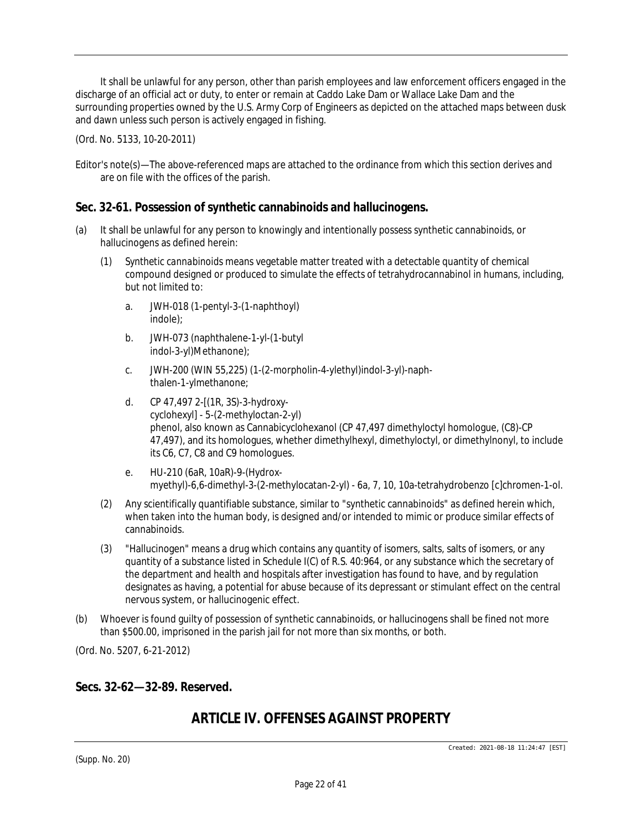It shall be unlawful for any person, other than parish employees and law enforcement officers engaged in the discharge of an official act or duty, to enter or remain at Caddo Lake Dam or Wallace Lake Dam and the surrounding properties owned by the U.S. Army Corp of Engineers as depicted on the attached maps between dusk and dawn unless such person is actively engaged in fishing.

(Ord. No. 5133, 10-20-2011)

### **Sec. 32-61. Possession of synthetic cannabinoids and hallucinogens.**

- (a) It shall be unlawful for any person to knowingly and intentionally possess synthetic cannabinoids, or hallucinogens as defined herein:
	- (1) *Synthetic cannabinoids* means vegetable matter treated with a detectable quantity of chemical compound designed or produced to simulate the effects of tetrahydrocannabinol in humans, including, but not limited to:
		- a. JWH-018 (1-pentyl-3-(1-naphthoyl) indole);
		- b. JWH-073 (naphthalene-1-yl-(1-butyl indol-3-yl)Methanone);
		- c. JWH-200 (WIN 55,225) (1-(2-morpholin-4-ylethyl)indol-3-yl)-naphthalen-1-ylmethanone;
		- d. CP 47,497 2-[(1R, 3S)-3-hydroxycyclohexyl] - 5-(2-methyloctan-2-yl) phenol, also known as Cannabicyclohexanol (CP 47,497 dimethyloctyl homologue, (C8)-CP 47,497), and its homologues, whether dimethylhexyl, dimethyloctyl, or dimethylnonyl, to include its C6, C7, C8 and C9 homologues.
		- e. HU-210 (6aR, 10aR)-9-(Hydroxmyethyl)-6,6-dimethyl-3-(2-methylocatan-2-yl) - 6a, 7, 10, 10a-tetrahydrobenzo [c]chromen-1-ol.
	- (2) Any scientifically quantifiable substance, similar to "synthetic cannabinoids" as defined herein which, when taken into the human body, is designed and/or intended to mimic or produce similar effects of cannabinoids.
	- (3) "Hallucinogen" means a drug which contains any quantity of isomers, salts, salts of isomers, or any quantity of a substance listed in Schedule I(C) of R.S. 40:964, or any substance which the secretary of the department and health and hospitals after investigation has found to have, and by regulation designates as having, a potential for abuse because of its depressant or stimulant effect on the central nervous system, or hallucinogenic effect.
- (b) Whoever is found guilty of possession of synthetic cannabinoids, or hallucinogens shall be fined not more than \$500.00, imprisoned in the parish jail for not more than six months, or both.

(Ord. No. 5207, 6-21-2012)

### **Secs. 32-62—32-89. Reserved.**

# *ARTICLE IV. OFFENSES AGAINST PROPERTY*

Editor's note(s)—The above-referenced maps are attached to the ordinance from which this section derives and are on file with the offices of the parish.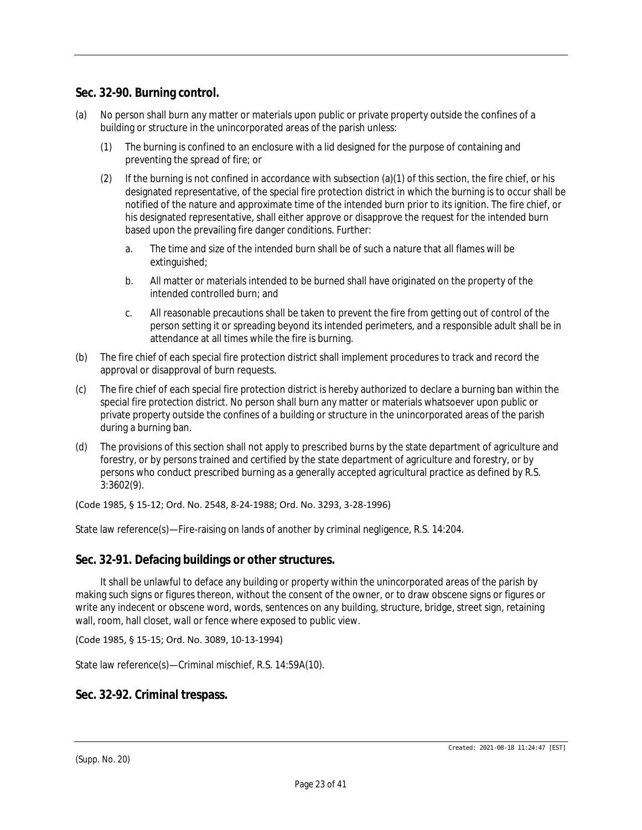### **Sec. 32-90. Burning control.**

- (a) No person shall burn any matter or materials upon public or private property outside the confines of a building or structure in the unincorporated areas of the parish unless:
	- (1) The burning is confined to an enclosure with a lid designed for the purpose of containing and preventing the spread of fire; or
	- (2) If the burning is not confined in accordance with subsection (a)(1) of this section, the fire chief, or his designated representative, of the special fire protection district in which the burning is to occur shall be notified of the nature and approximate time of the intended burn prior to its ignition. The fire chief, or his designated representative, shall either approve or disapprove the request for the intended burn based upon the prevailing fire danger conditions. Further:
		- a. The time and size of the intended burn shall be of such a nature that all flames will be extinguished;
		- b. All matter or materials intended to be burned shall have originated on the property of the intended controlled burn; and
		- c. All reasonable precautions shall be taken to prevent the fire from getting out of control of the person setting it or spreading beyond its intended perimeters, and a responsible adult shall be in attendance at all times while the fire is burning.
- (b) The fire chief of each special fire protection district shall implement procedures to track and record the approval or disapproval of burn requests.
- (c) The fire chief of each special fire protection district is hereby authorized to declare a burning ban within the special fire protection district. No person shall burn any matter or materials whatsoever upon public or private property outside the confines of a building or structure in the unincorporated areas of the parish during a burning ban.
- (d) The provisions of this section shall not apply to prescribed burns by the state department of agriculture and forestry, or by persons trained and certified by the state department of agriculture and forestry, or by persons who conduct prescribed burning as a generally accepted agricultural practice as defined by R.S. 3:3602(9).

(Code 1985, § 15-12; Ord. No. 2548, 8-24-1988; Ord. No. 3293, 3-28-1996)

State law reference(s)—Fire-raising on lands of another by criminal negligence, R.S. 14:204.

### **Sec. 32-91. Defacing buildings or other structures.**

It shall be unlawful to deface any building or property within the unincorporated areas of the parish by making such signs or figures thereon, without the consent of the owner, or to draw obscene signs or figures or write any indecent or obscene word, words, sentences on any building, structure, bridge, street sign, retaining wall, room, hall closet, wall or fence where exposed to public view.

(Code 1985, § 15-15; Ord. No. 3089, 10-13-1994)

State law reference(s)—Criminal mischief, R.S. 14:59A(10).

### **Sec. 32-92. Criminal trespass.**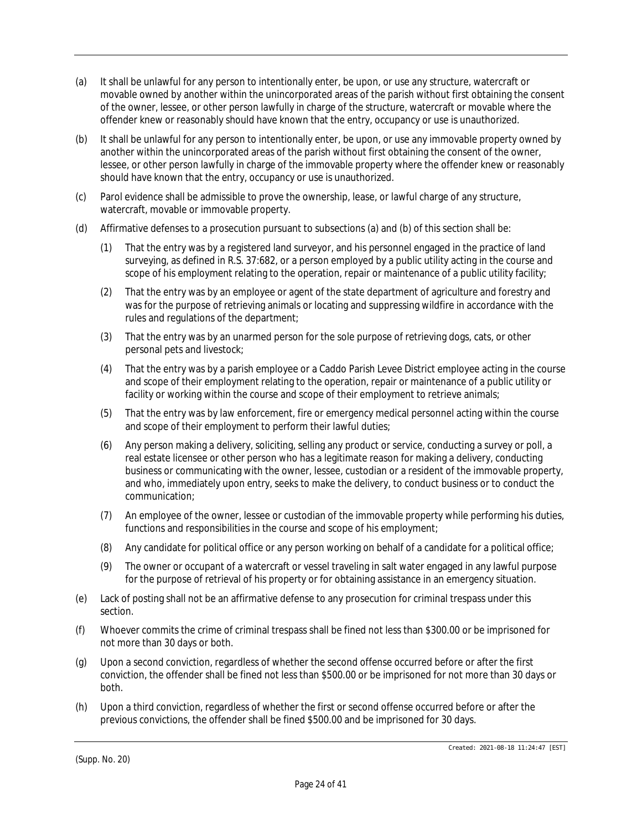- (a) It shall be unlawful for any person to intentionally enter, be upon, or use any structure, watercraft or movable owned by another within the unincorporated areas of the parish without first obtaining the consent of the owner, lessee, or other person lawfully in charge of the structure, watercraft or movable where the offender knew or reasonably should have known that the entry, occupancy or use is unauthorized.
- (b) It shall be unlawful for any person to intentionally enter, be upon, or use any immovable property owned by another within the unincorporated areas of the parish without first obtaining the consent of the owner, lessee, or other person lawfully in charge of the immovable property where the offender knew or reasonably should have known that the entry, occupancy or use is unauthorized.
- (c) Parol evidence shall be admissible to prove the ownership, lease, or lawful charge of any structure, watercraft, movable or immovable property.
- (d) Affirmative defenses to a prosecution pursuant to subsections (a) and (b) of this section shall be:
	- (1) That the entry was by a registered land surveyor, and his personnel engaged in the practice of land surveying, as defined in R.S. 37:682, or a person employed by a public utility acting in the course and scope of his employment relating to the operation, repair or maintenance of a public utility facility;
	- (2) That the entry was by an employee or agent of the state department of agriculture and forestry and was for the purpose of retrieving animals or locating and suppressing wildfire in accordance with the rules and regulations of the department;
	- (3) That the entry was by an unarmed person for the sole purpose of retrieving dogs, cats, or other personal pets and livestock;
	- (4) That the entry was by a parish employee or a Caddo Parish Levee District employee acting in the course and scope of their employment relating to the operation, repair or maintenance of a public utility or facility or working within the course and scope of their employment to retrieve animals;
	- (5) That the entry was by law enforcement, fire or emergency medical personnel acting within the course and scope of their employment to perform their lawful duties;
	- (6) Any person making a delivery, soliciting, selling any product or service, conducting a survey or poll, a real estate licensee or other person who has a legitimate reason for making a delivery, conducting business or communicating with the owner, lessee, custodian or a resident of the immovable property, and who, immediately upon entry, seeks to make the delivery, to conduct business or to conduct the communication;
	- (7) An employee of the owner, lessee or custodian of the immovable property while performing his duties, functions and responsibilities in the course and scope of his employment;
	- (8) Any candidate for political office or any person working on behalf of a candidate for a political office;
	- (9) The owner or occupant of a watercraft or vessel traveling in salt water engaged in any lawful purpose for the purpose of retrieval of his property or for obtaining assistance in an emergency situation.
- (e) Lack of posting shall not be an affirmative defense to any prosecution for criminal trespass under this section.
- (f) Whoever commits the crime of criminal trespass shall be fined not less than \$300.00 or be imprisoned for not more than 30 days or both.
- (g) Upon a second conviction, regardless of whether the second offense occurred before or after the first conviction, the offender shall be fined not less than \$500.00 or be imprisoned for not more than 30 days or both.
- (h) Upon a third conviction, regardless of whether the first or second offense occurred before or after the previous convictions, the offender shall be fined \$500.00 and be imprisoned for 30 days.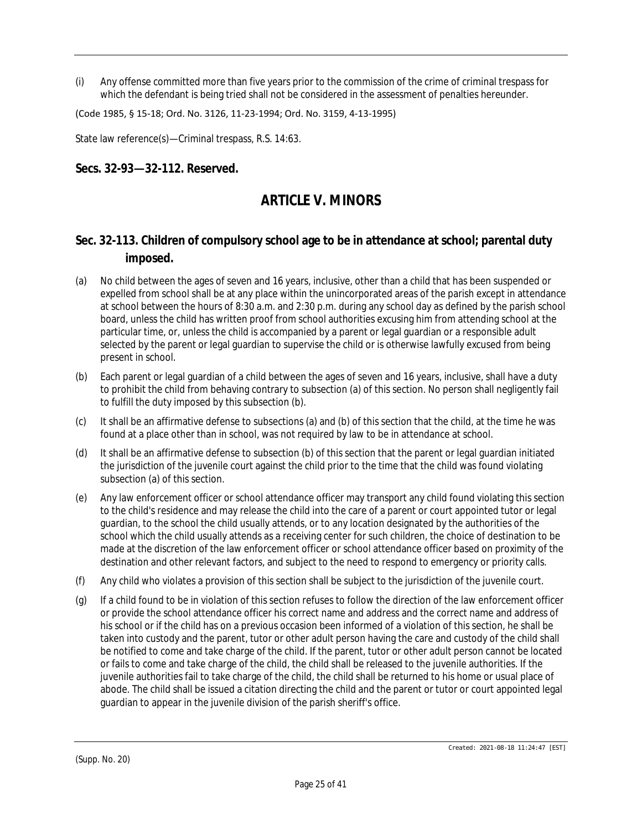(i) Any offense committed more than five years prior to the commission of the crime of criminal trespass for which the defendant is being tried shall not be considered in the assessment of penalties hereunder.

(Code 1985, § 15-18; Ord. No. 3126, 11-23-1994; Ord. No. 3159, 4-13-1995)

State law reference(s)—Criminal trespass, R.S. 14:63.

### **Secs. 32-93—32-112. Reserved.**

# *ARTICLE V. MINORS*

## **Sec. 32-113. Children of compulsory school age to be in attendance at school; parental duty imposed.**

- (a) No child between the ages of seven and 16 years, inclusive, other than a child that has been suspended or expelled from school shall be at any place within the unincorporated areas of the parish except in attendance at school between the hours of 8:30 a.m. and 2:30 p.m. during any school day as defined by the parish school board, unless the child has written proof from school authorities excusing him from attending school at the particular time, or, unless the child is accompanied by a parent or legal guardian or a responsible adult selected by the parent or legal guardian to supervise the child or is otherwise lawfully excused from being present in school.
- (b) Each parent or legal guardian of a child between the ages of seven and 16 years, inclusive, shall have a duty to prohibit the child from behaving contrary to subsection (a) of this section. No person shall negligently fail to fulfill the duty imposed by this subsection (b).
- (c) It shall be an affirmative defense to subsections (a) and (b) of this section that the child, at the time he was found at a place other than in school, was not required by law to be in attendance at school.
- (d) It shall be an affirmative defense to subsection (b) of this section that the parent or legal guardian initiated the jurisdiction of the juvenile court against the child prior to the time that the child was found violating subsection (a) of this section.
- (e) Any law enforcement officer or school attendance officer may transport any child found violating this section to the child's residence and may release the child into the care of a parent or court appointed tutor or legal guardian, to the school the child usually attends, or to any location designated by the authorities of the school which the child usually attends as a receiving center for such children, the choice of destination to be made at the discretion of the law enforcement officer or school attendance officer based on proximity of the destination and other relevant factors, and subject to the need to respond to emergency or priority calls.
- (f) Any child who violates a provision of this section shall be subject to the jurisdiction of the juvenile court.
- (g) If a child found to be in violation of this section refuses to follow the direction of the law enforcement officer or provide the school attendance officer his correct name and address and the correct name and address of his school or if the child has on a previous occasion been informed of a violation of this section, he shall be taken into custody and the parent, tutor or other adult person having the care and custody of the child shall be notified to come and take charge of the child. If the parent, tutor or other adult person cannot be located or fails to come and take charge of the child, the child shall be released to the juvenile authorities. If the juvenile authorities fail to take charge of the child, the child shall be returned to his home or usual place of abode. The child shall be issued a citation directing the child and the parent or tutor or court appointed legal guardian to appear in the juvenile division of the parish sheriff's office.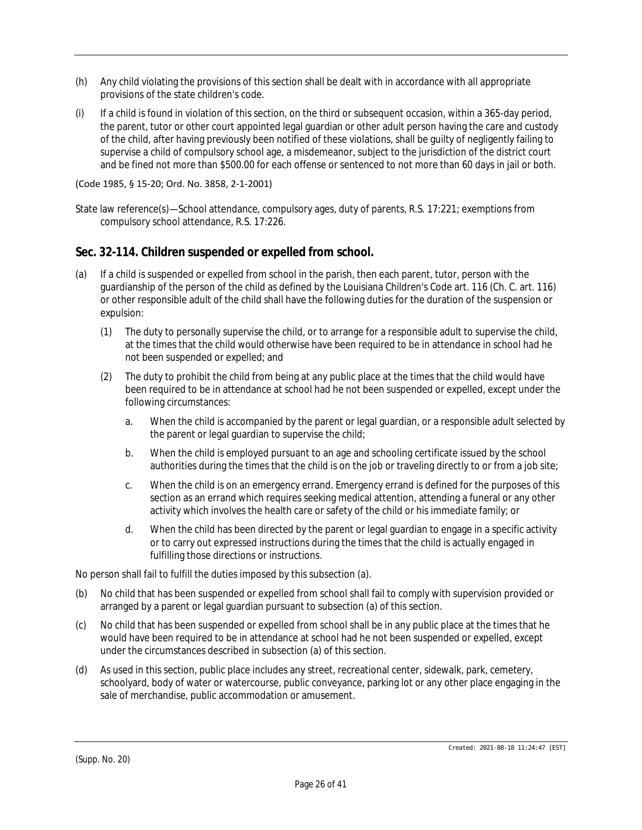- (h) Any child violating the provisions of this section shall be dealt with in accordance with all appropriate provisions of the state children's code.
- (i) If a child is found in violation of this section, on the third or subsequent occasion, within a 365-day period, the parent, tutor or other court appointed legal guardian or other adult person having the care and custody of the child, after having previously been notified of these violations, shall be guilty of negligently failing to supervise a child of compulsory school age, a misdemeanor, subject to the jurisdiction of the district court and be fined not more than \$500.00 for each offense or sentenced to not more than 60 days in jail or both.

#### (Code 1985, § 15-20; Ord. No. 3858, 2-1-2001)

State law reference(s)—School attendance, compulsory ages, duty of parents, R.S. 17:221; exemptions from compulsory school attendance, R.S. 17:226.

### **Sec. 32-114. Children suspended or expelled from school.**

- (a) If a child is suspended or expelled from school in the parish, then each parent, tutor, person with the guardianship of the person of the child as defined by the Louisiana Children's Code art. 116 (Ch. C. art. 116) or other responsible adult of the child shall have the following duties for the duration of the suspension or expulsion:
	- (1) The duty to personally supervise the child, or to arrange for a responsible adult to supervise the child, at the times that the child would otherwise have been required to be in attendance in school had he not been suspended or expelled; and
	- (2) The duty to prohibit the child from being at any public place at the times that the child would have been required to be in attendance at school had he not been suspended or expelled, except under the following circumstances:
		- a. When the child is accompanied by the parent or legal guardian, or a responsible adult selected by the parent or legal guardian to supervise the child;
		- b. When the child is employed pursuant to an age and schooling certificate issued by the school authorities during the times that the child is on the job or traveling directly to or from a job site;
		- c. When the child is on an emergency errand. Emergency errand is defined for the purposes of this section as an errand which requires seeking medical attention, attending a funeral or any other activity which involves the health care or safety of the child or his immediate family; or
		- d. When the child has been directed by the parent or legal guardian to engage in a specific activity or to carry out expressed instructions during the times that the child is actually engaged in fulfilling those directions or instructions.

No person shall fail to fulfill the duties imposed by this subsection (a).

- (b) No child that has been suspended or expelled from school shall fail to comply with supervision provided or arranged by a parent or legal guardian pursuant to subsection (a) of this section.
- (c) No child that has been suspended or expelled from school shall be in any public place at the times that he would have been required to be in attendance at school had he not been suspended or expelled, except under the circumstances described in subsection (a) of this section.
- (d) As used in this section, public place includes any street, recreational center, sidewalk, park, cemetery, schoolyard, body of water or watercourse, public conveyance, parking lot or any other place engaging in the sale of merchandise, public accommodation or amusement.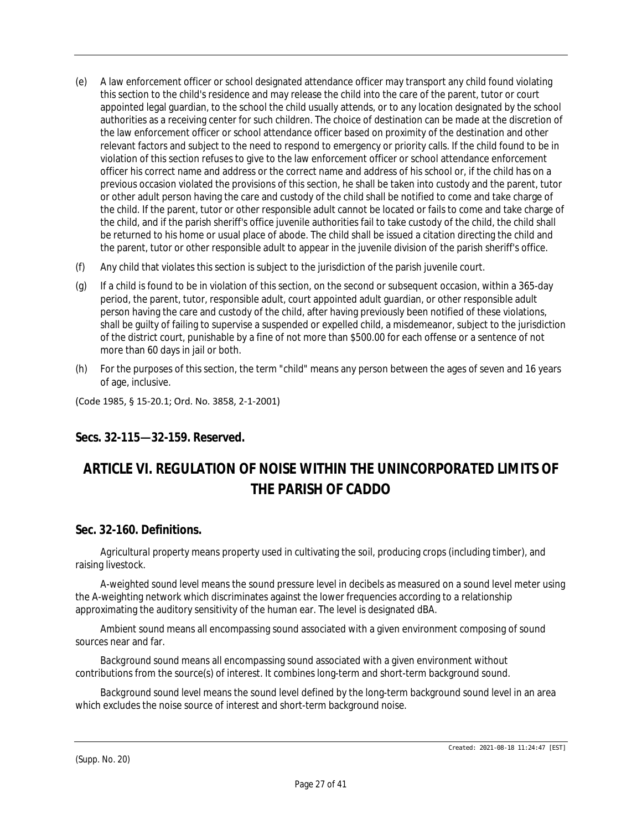- (e) A law enforcement officer or school designated attendance officer may transport any child found violating this section to the child's residence and may release the child into the care of the parent, tutor or court appointed legal guardian, to the school the child usually attends, or to any location designated by the school authorities as a receiving center for such children. The choice of destination can be made at the discretion of the law enforcement officer or school attendance officer based on proximity of the destination and other relevant factors and subject to the need to respond to emergency or priority calls. If the child found to be in violation of this section refuses to give to the law enforcement officer or school attendance enforcement officer his correct name and address or the correct name and address of his school or, if the child has on a previous occasion violated the provisions of this section, he shall be taken into custody and the parent, tutor or other adult person having the care and custody of the child shall be notified to come and take charge of the child. If the parent, tutor or other responsible adult cannot be located or fails to come and take charge of the child, and if the parish sheriff's office juvenile authorities fail to take custody of the child, the child shall be returned to his home or usual place of abode. The child shall be issued a citation directing the child and the parent, tutor or other responsible adult to appear in the juvenile division of the parish sheriff's office.
- (f) Any child that violates this section is subject to the jurisdiction of the parish juvenile court.
- (g) If a child is found to be in violation of this section, on the second or subsequent occasion, within a 365-day period, the parent, tutor, responsible adult, court appointed adult guardian, or other responsible adult person having the care and custody of the child, after having previously been notified of these violations, shall be guilty of failing to supervise a suspended or expelled child, a misdemeanor, subject to the jurisdiction of the district court, punishable by a fine of not more than \$500.00 for each offense or a sentence of not more than 60 days in jail or both.
- (h) For the purposes of this section, the term "child" means any person between the ages of seven and 16 years of age, inclusive.

(Code 1985, § 15-20.1; Ord. No. 3858, 2-1-2001)

## **Secs. 32-115—32-159. Reserved.**

# *ARTICLE VI. REGULATION OF NOISE WITHIN THE UNINCORPORATED LIMITS OF THE PARISH OF CADDO*

### **Sec. 32-160. Definitions.**

*Agricultural property* means property used in cultivating the soil, producing crops (including timber), and raising livestock.

*A-weighted sound level* means the sound pressure level in decibels as measured on a sound level meter using the A-weighting network which discriminates against the lower frequencies according to a relationship approximating the auditory sensitivity of the human ear. The level is designated dBA.

*Ambient sound* means all encompassing sound associated with a given environment composing of sound sources near and far.

*Background sound* means all encompassing sound associated with a given environment without contributions from the source(s) of interest. It combines long-term and short-term background sound.

*Background sound level* means the sound level defined by the long-term background sound level in an area which excludes the noise source of interest and short-term background noise.

(Supp. No. 20)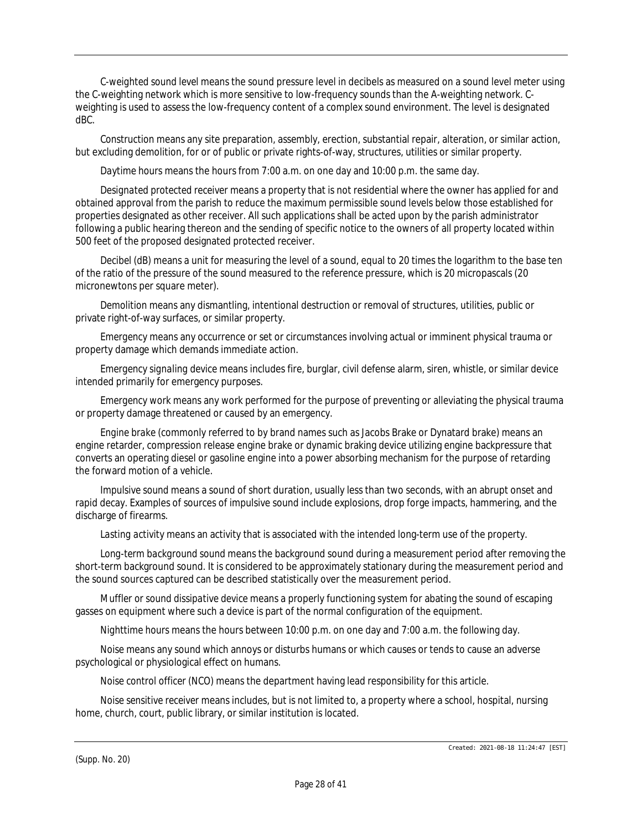*C-weighted sound level* means the sound pressure level in decibels as measured on a sound level meter using the C-weighting network which is more sensitive to low-frequency sounds than the A-weighting network. Cweighting is used to assess the low-frequency content of a complex sound environment. The level is designated dBC.

*Construction* means any site preparation, assembly, erection, substantial repair, alteration, or similar action, but excluding demolition, for or of public or private rights-of-way, structures, utilities or similar property.

*Daytime hours* means the hours from 7:00 a.m. on one day and 10:00 p.m. the same day.

*Designated protected receiver* means a property that is not residential where the owner has applied for and obtained approval from the parish to reduce the maximum permissible sound levels below those established for properties designated as other receiver. All such applications shall be acted upon by the parish administrator following a public hearing thereon and the sending of specific notice to the owners of all property located within 500 feet of the proposed designated protected receiver.

*Decibel (dB)* means a unit for measuring the level of a sound, equal to 20 times the logarithm to the base ten of the ratio of the pressure of the sound measured to the reference pressure, which is 20 micropascals (20 micronewtons per square meter).

*Demolition* means any dismantling, intentional destruction or removal of structures, utilities, public or private right-of-way surfaces, or similar property.

*Emergency* means any occurrence or set or circumstances involving actual or imminent physical trauma or property damage which demands immediate action.

*Emergency signaling device* means includes fire, burglar, civil defense alarm, siren, whistle, or similar device intended primarily for emergency purposes.

*Emergency work* means any work performed for the purpose of preventing or alleviating the physical trauma or property damage threatened or caused by an emergency.

*Engine brake* (commonly referred to by brand names such as Jacobs Brake or Dynatard brake) means an engine retarder, compression release engine brake or dynamic braking device utilizing engine backpressure that converts an operating diesel or gasoline engine into a power absorbing mechanism for the purpose of retarding the forward motion of a vehicle.

*Impulsive sound* means a sound of short duration, usually less than two seconds, with an abrupt onset and rapid decay. Examples of sources of impulsive sound include explosions, drop forge impacts, hammering, and the discharge of firearms.

*Lasting activity* means an activity that is associated with the intended long-term use of the property.

*Long-term background sound* means the background sound during a measurement period after removing the short-term background sound. It is considered to be approximately stationary during the measurement period and the sound sources captured can be described statistically over the measurement period.

*Muffler or sound dissipative device* means a properly functioning system for abating the sound of escaping gasses on equipment where such a device is part of the normal configuration of the equipment.

*Nighttime hours* means the hours between 10:00 p.m. on one day and 7:00 a.m. the following day.

*Noise* means any sound which annoys or disturbs humans or which causes or tends to cause an adverse psychological or physiological effect on humans.

*Noise control officer (NCO)* means the department having lead responsibility for this article.

*Noise sensitive receiver* means includes, but is not limited to, a property where a school, hospital, nursing home, church, court, public library, or similar institution is located.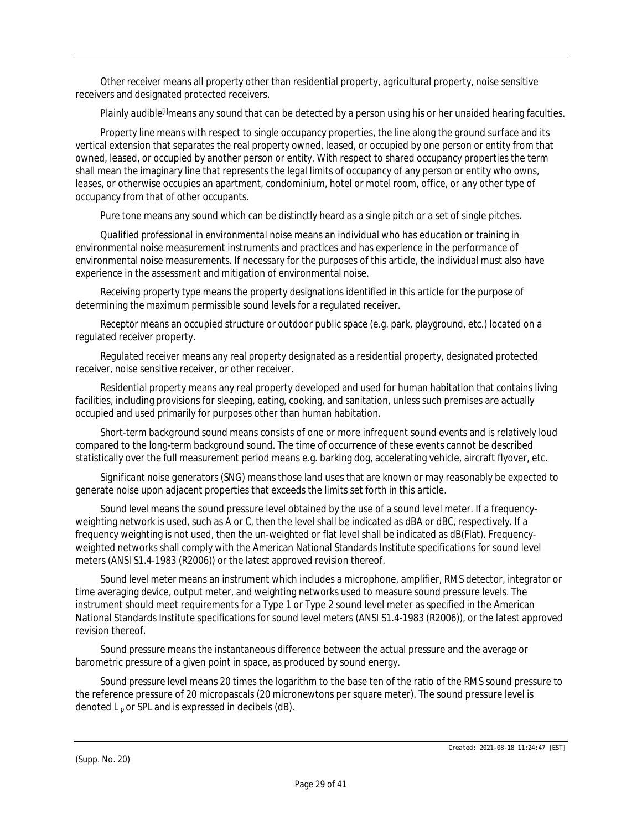*Other receiver* means all property other than residential property, agricultural property, noise sensitive receivers and designated protected receivers.

*Plainly audible[i]*means any sound that can be detected by a person using his or her unaided hearing faculties.

*Property line* means with respect to single occupancy properties, the line along the ground surface and its vertical extension that separates the real property owned, leased, or occupied by one person or entity from that owned, leased, or occupied by another person or entity. With respect to shared occupancy properties the term shall mean the imaginary line that represents the legal limits of occupancy of any person or entity who owns, leases, or otherwise occupies an apartment, condominium, hotel or motel room, office, or any other type of occupancy from that of other occupants.

*Pure tone* means any sound which can be distinctly heard as a single pitch or a set of single pitches.

*Qualified professional in environmental noise* means an individual who has education or training in environmental noise measurement instruments and practices and has experience in the performance of environmental noise measurements. If necessary for the purposes of this article, the individual must also have experience in the assessment and mitigation of environmental noise.

*Receiving property type* means the property designations identified in this article for the purpose of determining the maximum permissible sound levels for a regulated receiver.

*Receptor* means an occupied structure or outdoor public space (e.g. park, playground, etc.) located on a regulated receiver property.

*Regulated receiver* means any real property designated as a residential property, designated protected receiver, noise sensitive receiver, or other receiver.

*Residential property* means any real property developed and used for human habitation that contains living facilities, including provisions for sleeping, eating, cooking, and sanitation, unless such premises are actually occupied and used primarily for purposes other than human habitation.

*Short-term background sound* means consists of one or more infrequent sound events and is relatively loud compared to the long-term background sound. The time of occurrence of these events cannot be described statistically over the full measurement period means e.g. barking dog, accelerating vehicle, aircraft flyover, etc.

*Significant noise generators (SNG)* means those land uses that are known or may reasonably be expected to generate noise upon adjacent properties that exceeds the limits set forth in this article.

*Sound level* means the sound pressure level obtained by the use of a sound level meter. If a frequencyweighting network is used, such as A or C, then the level shall be indicated as dBA or dBC, respectively. If a frequency weighting is not used, then the un-weighted or flat level shall be indicated as dB(Flat). Frequencyweighted networks shall comply with the American National Standards Institute specifications for sound level meters (ANSI S1.4-1983 (R2006)) or the latest approved revision thereof.

*Sound level meter* means an instrument which includes a microphone, amplifier, RMS detector, integrator or time averaging device, output meter, and weighting networks used to measure sound pressure levels. The instrument should meet requirements for a Type 1 or Type 2 sound level meter as specified in the American National Standards Institute specifications for sound level meters (ANSI S1.4-1983 (R2006)), or the latest approved revision thereof.

*Sound pressure* means the instantaneous difference between the actual pressure and the average or barometric pressure of a given point in space, as produced by sound energy.

*Sound pressure level* means 20 times the logarithm to the base ten of the ratio of the RMS sound pressure to the reference pressure of 20 micropascals (20 micronewtons per square meter). The sound pressure level is denoted  $L_p$  or SPL and is expressed in decibels (dB).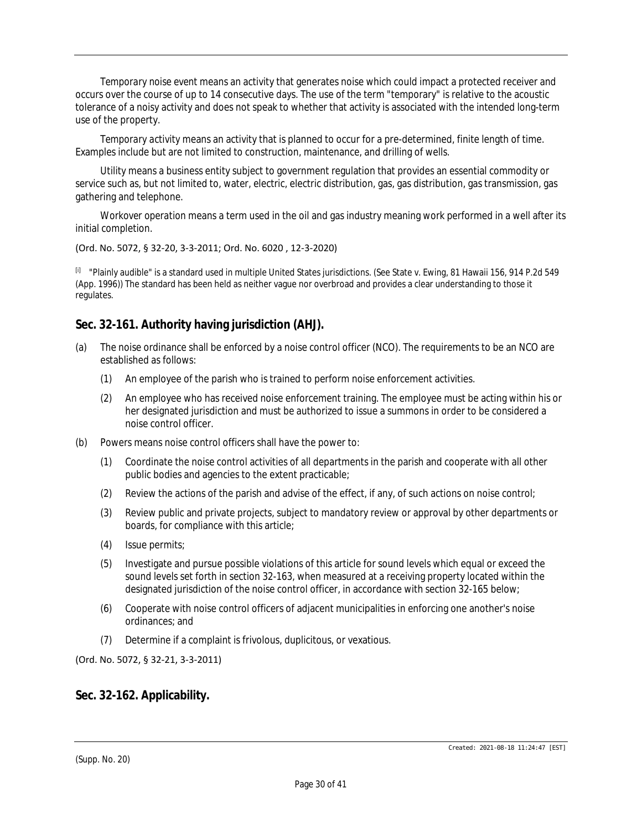*Temporary noise event* means an activity that generates noise which could impact a protected receiver and occurs over the course of up to 14 consecutive days. The use of the term "temporary" is relative to the acoustic tolerance of a noisy activity and does not speak to whether that activity is associated with the intended long-term use of the property.

*Temporary activity* means an activity that is planned to occur for a pre-determined, finite length of time. Examples include but are not limited to construction, maintenance, and drilling of wells.

*Utility* means a business entity subject to government regulation that provides an essential commodity or service such as, but not limited to, water, electric, electric distribution, gas, gas distribution, gas transmission, gas gathering and telephone.

*Workover operation* means a term used in the oil and gas industry meaning work performed in a well after its initial completion.

(Ord. No. 5072, § 32-20, 3-3-2011; Ord. No. 6020 , 12-3-2020)

[i] "Plainly audible" is a standard used in multiple United States jurisdictions. (See State v. Ewing, 81 Hawaii 156, 914 P.2d 549 (App. 1996)) The standard has been held as neither vague nor overbroad and provides a clear understanding to those it regulates.

## **Sec. 32-161. Authority having jurisdiction (AHJ).**

- (a) The noise ordinance shall be enforced by a noise control officer (NCO). The requirements to be an NCO are established as follows:
	- (1) An employee of the parish who is trained to perform noise enforcement activities.
	- (2) An employee who has received noise enforcement training. The employee must be acting within his or her designated jurisdiction and must be authorized to issue a summons in order to be considered a noise control officer.
- (b) Powers means noise control officers shall have the power to:
	- (1) Coordinate the noise control activities of all departments in the parish and cooperate with all other public bodies and agencies to the extent practicable;
	- (2) Review the actions of the parish and advise of the effect, if any, of such actions on noise control;
	- (3) Review public and private projects, subject to mandatory review or approval by other departments or boards, for compliance with this article;
	- (4) Issue permits;
	- (5) Investigate and pursue possible violations of this article for sound levels which equal or exceed the sound levels set forth in section 32-163, when measured at a receiving property located within the designated jurisdiction of the noise control officer, in accordance with section 32-165 below;
	- (6) Cooperate with noise control officers of adjacent municipalities in enforcing one another's noise ordinances; and
	- (7) Determine if a complaint is frivolous, duplicitous, or vexatious.

(Ord. No. 5072, § 32-21, 3-3-2011)

### **Sec. 32-162. Applicability.**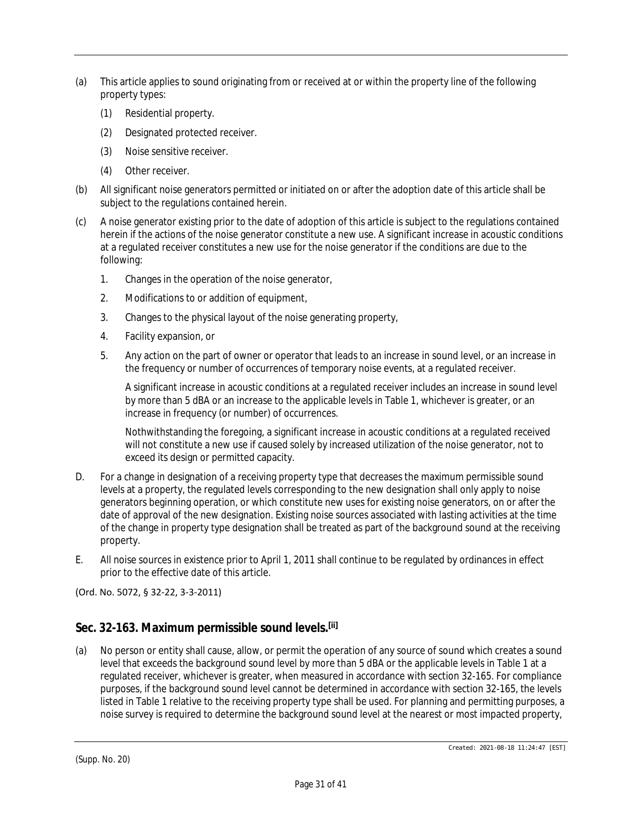- (a) This article applies to sound originating from or received at or within the property line of the following property types:
	- (1) Residential property.
	- (2) Designated protected receiver.
	- (3) Noise sensitive receiver.
	- (4) Other receiver.
- (b) All significant noise generators permitted or initiated on or after the adoption date of this article shall be subject to the regulations contained herein.
- (c) A noise generator existing prior to the date of adoption of this article is subject to the regulations contained herein if the actions of the noise generator constitute a new use. A significant increase in acoustic conditions at a regulated receiver constitutes a new use for the noise generator if the conditions are due to the following:
	- 1. Changes in the operation of the noise generator,
	- 2. Modifications to or addition of equipment,
	- 3. Changes to the physical layout of the noise generating property,
	- 4. Facility expansion, or
	- 5. Any action on the part of owner or operator that leads to an increase in sound level, or an increase in the frequency or number of occurrences of temporary noise events, at a regulated receiver.

A significant increase in acoustic conditions at a regulated receiver includes an increase in sound level by more than 5 dBA or an increase to the applicable levels in Table 1, whichever is greater, or an increase in frequency (or number) of occurrences.

Nothwithstanding the foregoing, a significant increase in acoustic conditions at a regulated received will not constitute a new use if caused solely by increased utilization of the noise generator, not to exceed its design or permitted capacity.

- D. For a change in designation of a receiving property type that decreases the maximum permissible sound levels at a property, the regulated levels corresponding to the new designation shall only apply to noise generators beginning operation, or which constitute new uses for existing noise generators, on or after the date of approval of the new designation. Existing noise sources associated with lasting activities at the time of the change in property type designation shall be treated as part of the background sound at the receiving property.
- E. All noise sources in existence prior to April 1, 2011 shall continue to be regulated by ordinances in effect prior to the effective date of this article.

(Ord. No. 5072, § 32-22, 3-3-2011)

## **Sec. 32-163. Maximum permissible sound levels.[ii]**

(a) No person or entity shall cause, allow, or permit the operation of any source of sound which creates a sound level that exceeds the background sound level by more than 5 dBA or the applicable levels in Table 1 at a regulated receiver, whichever is greater, when measured in accordance with section 32-165. For compliance purposes, if the background sound level cannot be determined in accordance with section 32-165, the levels listed in Table 1 relative to the receiving property type shall be used. For planning and permitting purposes, a noise survey is required to determine the background sound level at the nearest or most impacted property,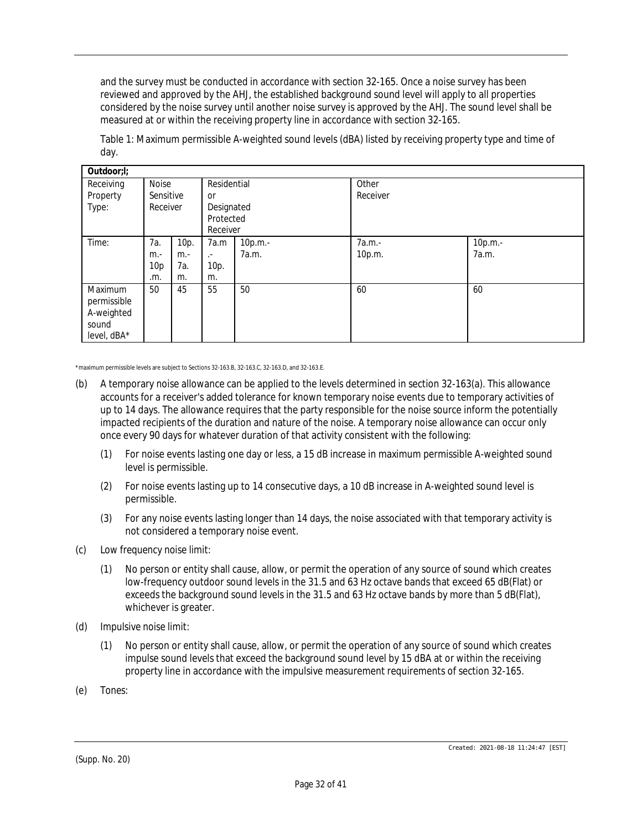and the survey must be conducted in accordance with section 32-165. Once a noise survey has been reviewed and approved by the AHJ, the established background sound level will apply to all properties considered by the noise survey until another noise survey is approved by the AHJ. The sound level shall be measured at or within the receiving property line in accordance with section 32-165.

| Outdoor;I;                                                   |                                |                            |                                                                 |                  |                   |                  |
|--------------------------------------------------------------|--------------------------------|----------------------------|-----------------------------------------------------------------|------------------|-------------------|------------------|
| Receiving<br>Property<br>Type:                               | Noise<br>Sensitive<br>Receiver |                            | Residential<br><b>or</b><br>Designated<br>Protected<br>Receiver |                  | Other<br>Receiver |                  |
| Time:                                                        | 7a.<br>$m -$<br>10p<br>.m.     | 10p.<br>$m -$<br>7а.<br>m. | 7a.m<br>$\mathcal{L}^{\pm}$<br>10p.<br>m.                       | 10p.m.-<br>7a.m. | 7a.m.-<br>10p.m.  | 10p.m.-<br>7a.m. |
| Maximum<br>permissible<br>A-weighted<br>sound<br>level, dBA* | 50                             | 45                         | 55                                                              | 50               | 60                | 60               |

Table 1: Maximum permissible A-weighted sound levels (dBA) listed by receiving property type and time of day.

\*maximum permissible levels are subject to Sections 32-163.B, 32-163.C, 32-163.D, and 32-163.E.

- (b) A temporary noise allowance can be applied to the levels determined in section 32-163(a). This allowance accounts for a receiver's added tolerance for known temporary noise events due to temporary activities of up to 14 days. The allowance requires that the party responsible for the noise source inform the potentially impacted recipients of the duration and nature of the noise. A temporary noise allowance can occur only once every 90 days for whatever duration of that activity consistent with the following:
	- (1) For noise events lasting one day or less, a 15 dB increase in maximum permissible A-weighted sound level is permissible.
	- (2) For noise events lasting up to 14 consecutive days, a 10 dB increase in A-weighted sound level is permissible.
	- (3) For any noise events lasting longer than 14 days, the noise associated with that temporary activity is not considered a temporary noise event.
- (c) *Low frequency noise limit:*
	- (1) No person or entity shall cause, allow, or permit the operation of any source of sound which creates low-frequency outdoor sound levels in the 31.5 and 63 Hz octave bands that exceed 65 dB(Flat) or exceeds the background sound levels in the 31.5 and 63 Hz octave bands by more than 5 dB(Flat), whichever is greater.
- (d) *Impulsive noise limit:*
	- (1) No person or entity shall cause, allow, or permit the operation of any source of sound which creates impulse sound levels that exceed the background sound level by 15 dBA at or within the receiving property line in accordance with the impulsive measurement requirements of section 32-165.
- (e) *Tones:*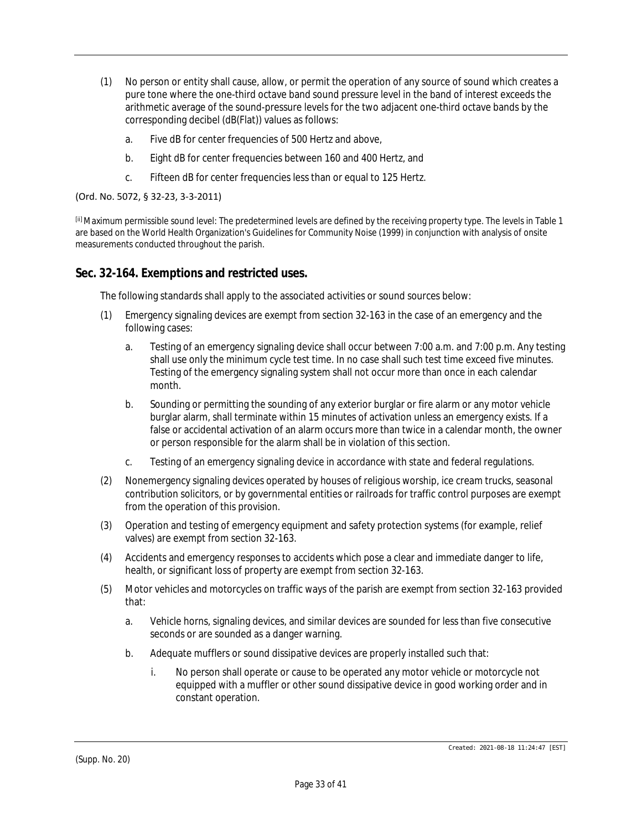- (1) No person or entity shall cause, allow, or permit the operation of any source of sound which creates a pure tone where the one-third octave band sound pressure level in the band of interest exceeds the arithmetic average of the sound-pressure levels for the two adjacent one-third octave bands by the corresponding decibel (dB(Flat)) values as follows:
	- a. Five dB for center frequencies of 500 Hertz and above,
	- b. Eight dB for center frequencies between 160 and 400 Hertz, and
	- c. Fifteen dB for center frequencies less than or equal to 125 Hertz.

(Ord. No. 5072, § 32-23, 3-3-2011)

[ii] Maximum permissible sound level: The predetermined levels are defined by the receiving property type. The levels in Table 1 are based on the World Health Organization's Guidelines for Community Noise (1999) in conjunction with analysis of onsite measurements conducted throughout the parish.

#### **Sec. 32-164. Exemptions and restricted uses.**

The following standards shall apply to the associated activities or sound sources below:

- (1) Emergency signaling devices are exempt from section 32-163 in the case of an emergency and the following cases:
	- a. Testing of an emergency signaling device shall occur between 7:00 a.m. and 7:00 p.m. Any testing shall use only the minimum cycle test time. In no case shall such test time exceed five minutes. Testing of the emergency signaling system shall not occur more than once in each calendar month.
	- b. Sounding or permitting the sounding of any exterior burglar or fire alarm or any motor vehicle burglar alarm, shall terminate within 15 minutes of activation unless an emergency exists. If a false or accidental activation of an alarm occurs more than twice in a calendar month, the owner or person responsible for the alarm shall be in violation of this section.
	- c. Testing of an emergency signaling device in accordance with state and federal regulations.
- (2) Nonemergency signaling devices operated by houses of religious worship, ice cream trucks, seasonal contribution solicitors, or by governmental entities or railroads for traffic control purposes are exempt from the operation of this provision.
- (3) Operation and testing of emergency equipment and safety protection systems (for example, relief valves) are exempt from section 32-163.
- (4) Accidents and emergency responses to accidents which pose a clear and immediate danger to life, health, or significant loss of property are exempt from section 32-163.
- (5) Motor vehicles and motorcycles on traffic ways of the parish are exempt from section 32-163 provided that:
	- a. Vehicle horns, signaling devices, and similar devices are sounded for less than five consecutive seconds or are sounded as a danger warning.
	- b. Adequate mufflers or sound dissipative devices are properly installed such that:
		- i. No person shall operate or cause to be operated any motor vehicle or motorcycle not equipped with a muffler or other sound dissipative device in good working order and in constant operation.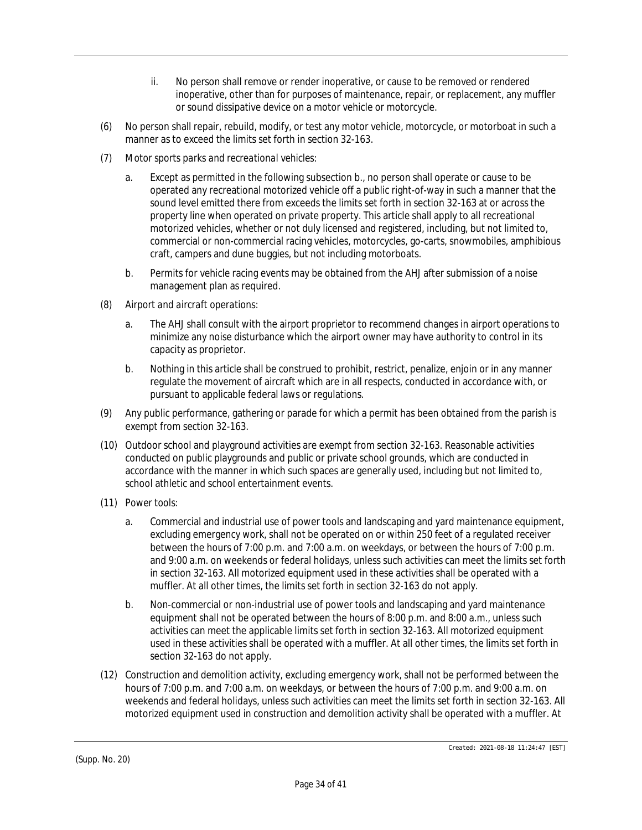- ii. No person shall remove or render inoperative, or cause to be removed or rendered inoperative, other than for purposes of maintenance, repair, or replacement, any muffler or sound dissipative device on a motor vehicle or motorcycle.
- (6) No person shall repair, rebuild, modify, or test any motor vehicle, motorcycle, or motorboat in such a manner as to exceed the limits set forth in section 32-163.
- (7) *Motor sports parks and recreational vehicles:*
	- a. Except as permitted in the following subsection b., no person shall operate or cause to be operated any recreational motorized vehicle off a public right-of-way in such a manner that the sound level emitted there from exceeds the limits set forth in section 32-163 at or across the property line when operated on private property. This article shall apply to all recreational motorized vehicles, whether or not duly licensed and registered, including, but not limited to, commercial or non-commercial racing vehicles, motorcycles, go-carts, snowmobiles, amphibious craft, campers and dune buggies, but not including motorboats.
	- b. Permits for vehicle racing events may be obtained from the AHJ after submission of a noise management plan as required.
- (8) *Airport and aircraft operations:*
	- a. The AHJ shall consult with the airport proprietor to recommend changes in airport operations to minimize any noise disturbance which the airport owner may have authority to control in its capacity as proprietor.
	- b. Nothing in this article shall be construed to prohibit, restrict, penalize, enjoin or in any manner regulate the movement of aircraft which are in all respects, conducted in accordance with, or pursuant to applicable federal laws or regulations.
- (9) Any public performance, gathering or parade for which a permit has been obtained from the parish is exempt from section 32-163.
- (10) Outdoor school and playground activities are exempt from section 32-163. Reasonable activities conducted on public playgrounds and public or private school grounds, which are conducted in accordance with the manner in which such spaces are generally used, including but not limited to, school athletic and school entertainment events.
- (11) *Power tools:*
	- a. Commercial and industrial use of power tools and landscaping and yard maintenance equipment, excluding emergency work, shall not be operated on or within 250 feet of a regulated receiver between the hours of 7:00 p.m. and 7:00 a.m. on weekdays, or between the hours of 7:00 p.m. and 9:00 a.m. on weekends or federal holidays, unless such activities can meet the limits set forth in section 32-163. All motorized equipment used in these activities shall be operated with a muffler. At all other times, the limits set forth in section 32-163 do not apply.
	- b. Non-commercial or non-industrial use of power tools and landscaping and yard maintenance equipment shall not be operated between the hours of 8:00 p.m. and 8:00 a.m., unless such activities can meet the applicable limits set forth in section 32-163. All motorized equipment used in these activities shall be operated with a muffler. At all other times, the limits set forth in section 32-163 do not apply.
- (12) Construction and demolition activity, excluding emergency work, shall not be performed between the hours of 7:00 p.m. and 7:00 a.m. on weekdays, or between the hours of 7:00 p.m. and 9:00 a.m. on weekends and federal holidays, unless such activities can meet the limits set forth in section 32-163. All motorized equipment used in construction and demolition activity shall be operated with a muffler. At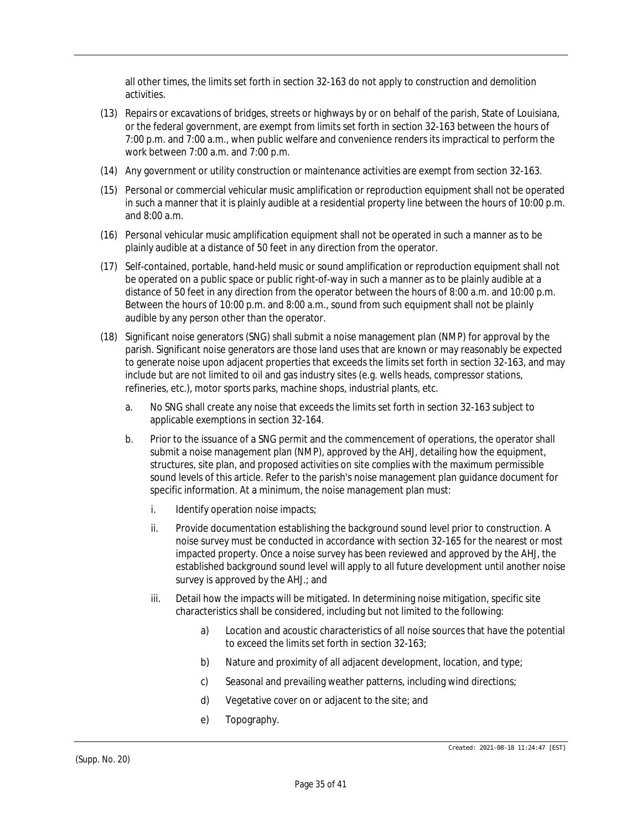all other times, the limits set forth in section 32-163 do not apply to construction and demolition activities.

- (13) Repairs or excavations of bridges, streets or highways by or on behalf of the parish, State of Louisiana, or the federal government, are exempt from limits set forth in section 32-163 between the hours of 7:00 p.m. and 7:00 a.m., when public welfare and convenience renders its impractical to perform the work between 7:00 a.m. and 7:00 p.m.
- (14) Any government or utility construction or maintenance activities are exempt from section 32-163.
- (15) Personal or commercial vehicular music amplification or reproduction equipment shall not be operated in such a manner that it is plainly audible at a residential property line between the hours of 10:00 p.m. and 8:00 a.m.
- (16) Personal vehicular music amplification equipment shall not be operated in such a manner as to be plainly audible at a distance of 50 feet in any direction from the operator.
- (17) Self-contained, portable, hand-held music or sound amplification or reproduction equipment shall not be operated on a public space or public right-of-way in such a manner as to be plainly audible at a distance of 50 feet in any direction from the operator between the hours of 8:00 a.m. and 10:00 p.m. Between the hours of 10:00 p.m. and 8:00 a.m., sound from such equipment shall not be plainly audible by any person other than the operator.
- (18) Significant noise generators (SNG) shall submit a noise management plan (NMP) for approval by the parish. Significant noise generators are those land uses that are known or may reasonably be expected to generate noise upon adjacent properties that exceeds the limits set forth in section 32-163, and may include but are not limited to oil and gas industry sites (e.g. wells heads, compressor stations, refineries, etc.), motor sports parks, machine shops, industrial plants, etc.
	- a. No SNG shall create any noise that exceeds the limits set forth in section 32-163 subject to applicable exemptions in section 32-164.
	- b. Prior to the issuance of a SNG permit and the commencement of operations, the operator shall submit a noise management plan (NMP), approved by the AHJ, detailing how the equipment, structures, site plan, and proposed activities on site complies with the maximum permissible sound levels of this article. Refer to the parish's noise management plan guidance document for specific information. At a minimum, the noise management plan must:
		- i. Identify operation noise impacts;
		- ii. Provide documentation establishing the background sound level prior to construction. A noise survey must be conducted in accordance with section 32-165 for the nearest or most impacted property. Once a noise survey has been reviewed and approved by the AHJ, the established background sound level will apply to all future development until another noise survey is approved by the AHJ.; and
		- iii. Detail how the impacts will be mitigated. In determining noise mitigation, specific site characteristics shall be considered, including but not limited to the following:
			- a) Location and acoustic characteristics of all noise sources that have the potential to exceed the limits set forth in section 32-163;
			- b) Nature and proximity of all adjacent development, location, and type;
			- c) Seasonal and prevailing weather patterns, including wind directions;
			- d) Vegetative cover on or adjacent to the site; and
			- e) Topography.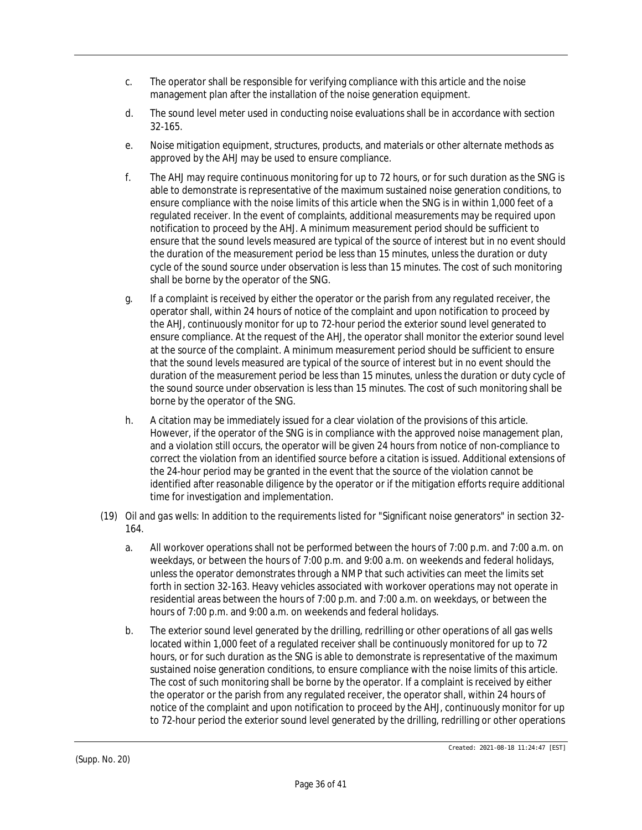- c. The operator shall be responsible for verifying compliance with this article and the noise management plan after the installation of the noise generation equipment.
- d. The sound level meter used in conducting noise evaluations shall be in accordance with section 32-165.
- e. Noise mitigation equipment, structures, products, and materials or other alternate methods as approved by the AHJ may be used to ensure compliance.
- f. The AHJ may require continuous monitoring for up to 72 hours, or for such duration as the SNG is able to demonstrate is representative of the maximum sustained noise generation conditions, to ensure compliance with the noise limits of this article when the SNG is in within 1,000 feet of a regulated receiver. In the event of complaints, additional measurements may be required upon notification to proceed by the AHJ. A minimum measurement period should be sufficient to ensure that the sound levels measured are typical of the source of interest but in no event should the duration of the measurement period be less than 15 minutes, unless the duration or duty cycle of the sound source under observation is less than 15 minutes. The cost of such monitoring shall be borne by the operator of the SNG.
- g. If a complaint is received by either the operator or the parish from any regulated receiver, the operator shall, within 24 hours of notice of the complaint and upon notification to proceed by the AHJ, continuously monitor for up to 72-hour period the exterior sound level generated to ensure compliance. At the request of the AHJ, the operator shall monitor the exterior sound level at the source of the complaint. A minimum measurement period should be sufficient to ensure that the sound levels measured are typical of the source of interest but in no event should the duration of the measurement period be less than 15 minutes, unless the duration or duty cycle of the sound source under observation is less than 15 minutes. The cost of such monitoring shall be borne by the operator of the SNG.
- h. A citation may be immediately issued for a clear violation of the provisions of this article. However, if the operator of the SNG is in compliance with the approved noise management plan, and a violation still occurs, the operator will be given 24 hours from notice of non-compliance to correct the violation from an identified source before a citation is issued. Additional extensions of the 24-hour period may be granted in the event that the source of the violation cannot be identified after reasonable diligence by the operator or if the mitigation efforts require additional time for investigation and implementation.
- (19) *Oil and gas wells:* In addition to the requirements listed for "Significant noise generators" in section 32- 164.
	- a. All workover operations shall not be performed between the hours of 7:00 p.m. and 7:00 a.m. on weekdays, or between the hours of 7:00 p.m. and 9:00 a.m. on weekends and federal holidays, unless the operator demonstrates through a NMP that such activities can meet the limits set forth in section 32-163. Heavy vehicles associated with workover operations may not operate in residential areas between the hours of 7:00 p.m. and 7:00 a.m. on weekdays, or between the hours of 7:00 p.m. and 9:00 a.m. on weekends and federal holidays.
	- b. The exterior sound level generated by the drilling, redrilling or other operations of all gas wells located within 1,000 feet of a regulated receiver shall be continuously monitored for up to 72 hours, or for such duration as the SNG is able to demonstrate is representative of the maximum sustained noise generation conditions, to ensure compliance with the noise limits of this article. The cost of such monitoring shall be borne by the operator. If a complaint is received by either the operator or the parish from any regulated receiver, the operator shall, within 24 hours of notice of the complaint and upon notification to proceed by the AHJ, continuously monitor for up to 72-hour period the exterior sound level generated by the drilling, redrilling or other operations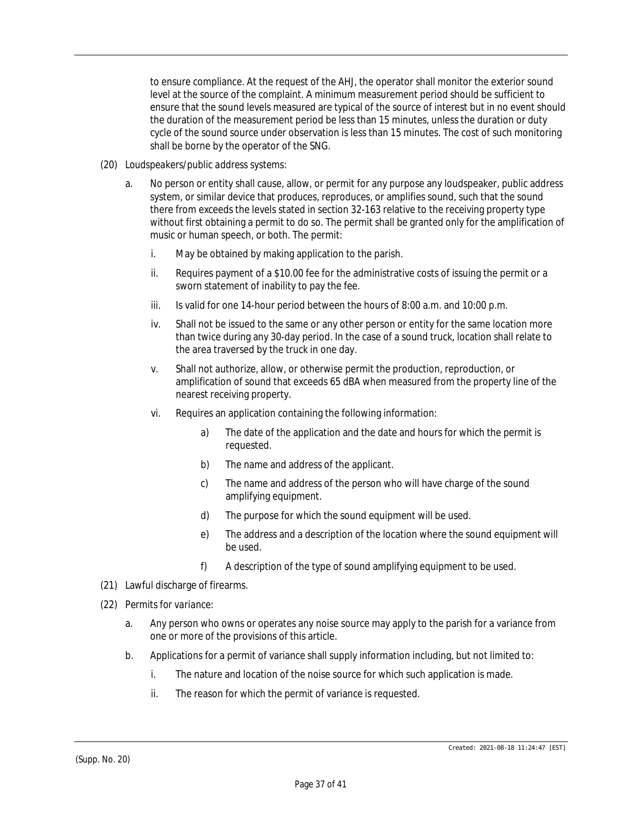to ensure compliance. At the request of the AHJ, the operator shall monitor the exterior sound level at the source of the complaint. A minimum measurement period should be sufficient to ensure that the sound levels measured are typical of the source of interest but in no event should the duration of the measurement period be less than 15 minutes, unless the duration or duty cycle of the sound source under observation is less than 15 minutes. The cost of such monitoring shall be borne by the operator of the SNG.

- (20) *Loudspeakers/public address systems:*
	- a. No person or entity shall cause, allow, or permit for any purpose any loudspeaker, public address system, or similar device that produces, reproduces, or amplifies sound, such that the sound there from exceeds the levels stated in section 32-163 relative to the receiving property type without first obtaining a permit to do so. The permit shall be granted only for the amplification of music or human speech, or both. The permit:
		- i. May be obtained by making application to the parish.
		- ii. Requires payment of a \$10.00 fee for the administrative costs of issuing the permit or a sworn statement of inability to pay the fee.
		- iii. Is valid for one 14-hour period between the hours of 8:00 a.m. and 10:00 p.m.
		- iv. Shall not be issued to the same or any other person or entity for the same location more than twice during any 30-day period. In the case of a sound truck, location shall relate to the area traversed by the truck in one day.
		- v. Shall not authorize, allow, or otherwise permit the production, reproduction, or amplification of sound that exceeds 65 dBA when measured from the property line of the nearest receiving property.
		- vi. Requires an application containing the following information:
			- a) The date of the application and the date and hours for which the permit is requested.
			- b) The name and address of the applicant.
			- c) The name and address of the person who will have charge of the sound amplifying equipment.
			- d) The purpose for which the sound equipment will be used.
			- e) The address and a description of the location where the sound equipment will be used.
			- f) A description of the type of sound amplifying equipment to be used.
- (21) Lawful discharge of firearms.
- (22) *Permits for variance:*
	- a. Any person who owns or operates any noise source may apply to the parish for a variance from one or more of the provisions of this article.
	- b. Applications for a permit of variance shall supply information including, but not limited to:
		- i. The nature and location of the noise source for which such application is made.
		- ii. The reason for which the permit of variance is requested.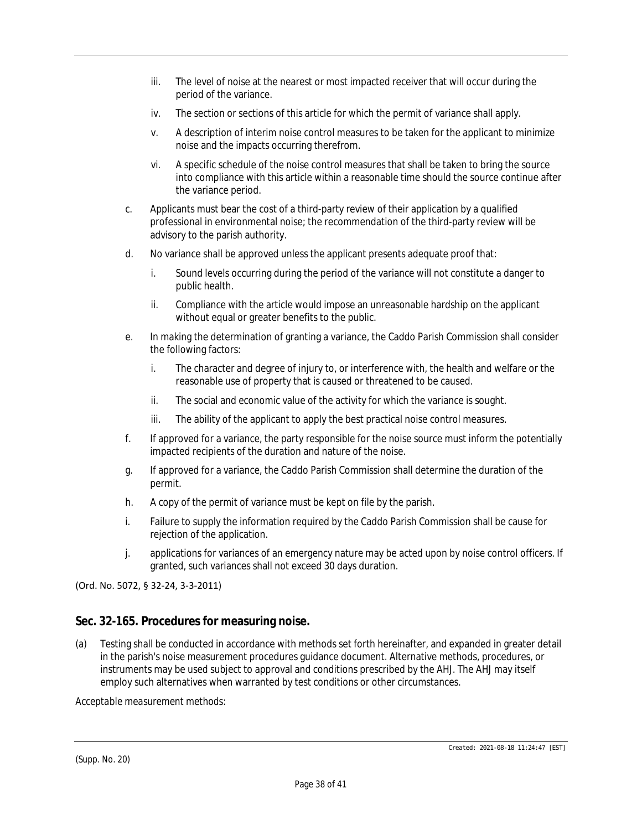- iii. The level of noise at the nearest or most impacted receiver that will occur during the period of the variance.
- iv. The section or sections of this article for which the permit of variance shall apply.
- v. A description of interim noise control measures to be taken for the applicant to minimize noise and the impacts occurring therefrom.
- vi. A specific schedule of the noise control measures that shall be taken to bring the source into compliance with this article within a reasonable time should the source continue after the variance period.
- c. Applicants must bear the cost of a third-party review of their application by a qualified professional in environmental noise; the recommendation of the third-party review will be advisory to the parish authority.
- d. No variance shall be approved unless the applicant presents adequate proof that:
	- i. Sound levels occurring during the period of the variance will not constitute a danger to public health.
	- ii. Compliance with the article would impose an unreasonable hardship on the applicant without equal or greater benefits to the public.
- e. In making the determination of granting a variance, the Caddo Parish Commission shall consider the following factors:
	- i. The character and degree of injury to, or interference with, the health and welfare or the reasonable use of property that is caused or threatened to be caused.
	- ii. The social and economic value of the activity for which the variance is sought.
	- iii. The ability of the applicant to apply the best practical noise control measures.
- f. If approved for a variance, the party responsible for the noise source must inform the potentially impacted recipients of the duration and nature of the noise.
- g. If approved for a variance, the Caddo Parish Commission shall determine the duration of the permit.
- h. A copy of the permit of variance must be kept on file by the parish.
- i. Failure to supply the information required by the Caddo Parish Commission shall be cause for rejection of the application.
- j. applications for variances of an emergency nature may be acted upon by noise control officers. If granted, such variances shall not exceed 30 days duration.

(Ord. No. 5072, § 32-24, 3-3-2011)

## **Sec. 32-165. Procedures for measuring noise.**

(a) Testing shall be conducted in accordance with methods set forth hereinafter, and expanded in greater detail in the parish's noise measurement procedures guidance document. Alternative methods, procedures, or instruments may be used subject to approval and conditions prescribed by the AHJ. The AHJ may itself employ such alternatives when warranted by test conditions or other circumstances.

*Acceptable measurement methods:*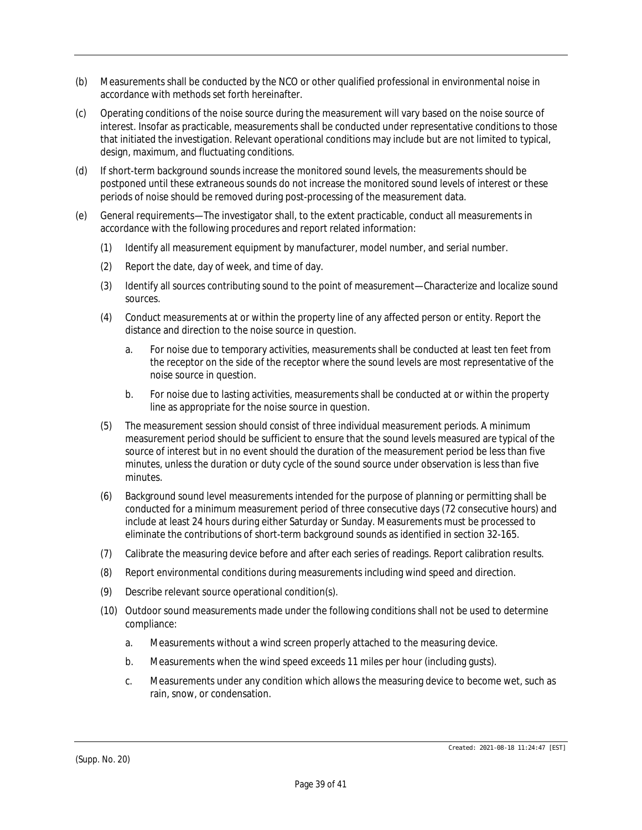- (b) Measurements shall be conducted by the NCO or other qualified professional in environmental noise in accordance with methods set forth hereinafter.
- (c) Operating conditions of the noise source during the measurement will vary based on the noise source of interest. Insofar as practicable, measurements shall be conducted under representative conditions to those that initiated the investigation. Relevant operational conditions may include but are not limited to typical, design, maximum, and fluctuating conditions.
- (d) If short-term background sounds increase the monitored sound levels, the measurements should be postponed until these extraneous sounds do not increase the monitored sound levels of interest or these periods of noise should be removed during post-processing of the measurement data.
- (e) General requirements—The investigator shall, to the extent practicable, conduct all measurements in accordance with the following procedures and report related information:
	- (1) Identify all measurement equipment by manufacturer, model number, and serial number.
	- (2) Report the date, day of week, and time of day.
	- (3) Identify all sources contributing sound to the point of measurement—Characterize and localize sound sources.
	- (4) Conduct measurements at or within the property line of any affected person or entity. Report the distance and direction to the noise source in question.
		- a. For noise due to temporary activities, measurements shall be conducted at least ten feet from the receptor on the side of the receptor where the sound levels are most representative of the noise source in question.
		- b. For noise due to lasting activities, measurements shall be conducted at or within the property line as appropriate for the noise source in question.
	- (5) The measurement session should consist of three individual measurement periods. A minimum measurement period should be sufficient to ensure that the sound levels measured are typical of the source of interest but in no event should the duration of the measurement period be less than five minutes, unless the duration or duty cycle of the sound source under observation is less than five minutes.
	- (6) Background sound level measurements intended for the purpose of planning or permitting shall be conducted for a minimum measurement period of three consecutive days (72 consecutive hours) and include at least 24 hours during either Saturday or Sunday. Measurements must be processed to eliminate the contributions of short-term background sounds as identified in section 32-165.
	- (7) Calibrate the measuring device before and after each series of readings. Report calibration results.
	- (8) Report environmental conditions during measurements including wind speed and direction.
	- (9) Describe relevant source operational condition(s).
	- (10) Outdoor sound measurements made under the following conditions shall not be used to determine compliance:
		- a. Measurements without a wind screen properly attached to the measuring device.
		- b. Measurements when the wind speed exceeds 11 miles per hour (including gusts).
		- c. Measurements under any condition which allows the measuring device to become wet, such as rain, snow, or condensation.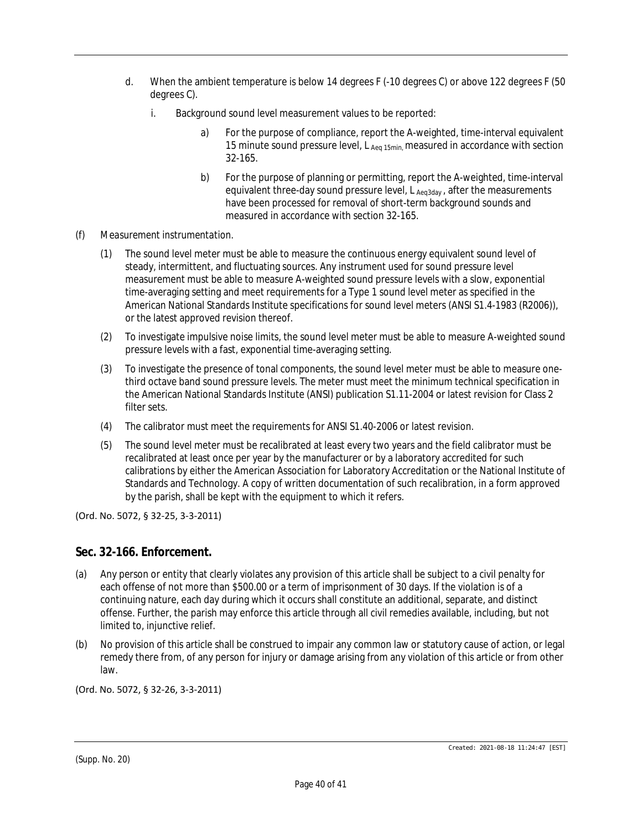- d. When the ambient temperature is below 14 degrees F (-10 degrees C) or above 122 degrees F (50 degrees C).
	- i. Background sound level measurement values to be reported:
		- a) For the purpose of compliance, report the A-weighted, time-interval equivalent 15 minute sound pressure level,  $L_{Aea15min}$  measured in accordance with section 32-165.
		- b) For the purpose of planning or permitting, report the A-weighted, time-interval equivalent three-day sound pressure level, L Aeq3day, after the measurements have been processed for removal of short-term background sounds and measured in accordance with section 32-165.
- (f) *Measurement instrumentation.*
	- (1) The sound level meter must be able to measure the continuous energy equivalent sound level of steady, intermittent, and fluctuating sources. Any instrument used for sound pressure level measurement must be able to measure A-weighted sound pressure levels with a slow, exponential time-averaging setting and meet requirements for a Type 1 sound level meter as specified in the American National Standards Institute specifications for sound level meters (ANSI S1.4-1983 (R2006)), or the latest approved revision thereof.
	- (2) To investigate impulsive noise limits, the sound level meter must be able to measure A-weighted sound pressure levels with a fast, exponential time-averaging setting.
	- (3) To investigate the presence of tonal components, the sound level meter must be able to measure onethird octave band sound pressure levels. The meter must meet the minimum technical specification in the American National Standards Institute (ANSI) publication S1.11-2004 or latest revision for Class 2 filter sets.
	- (4) The calibrator must meet the requirements for ANSI S1.40-2006 or latest revision.
	- (5) The sound level meter must be recalibrated at least every two years and the field calibrator must be recalibrated at least once per year by the manufacturer or by a laboratory accredited for such calibrations by either the American Association for Laboratory Accreditation or the National Institute of Standards and Technology. A copy of written documentation of such recalibration, in a form approved by the parish, shall be kept with the equipment to which it refers.

(Ord. No. 5072, § 32-25, 3-3-2011)

### **Sec. 32-166. Enforcement.**

- (a) Any person or entity that clearly violates any provision of this article shall be subject to a civil penalty for each offense of not more than \$500.00 or a term of imprisonment of 30 days. If the violation is of a continuing nature, each day during which it occurs shall constitute an additional, separate, and distinct offense. Further, the parish may enforce this article through all civil remedies available, including, but not limited to, injunctive relief.
- (b) No provision of this article shall be construed to impair any common law or statutory cause of action, or legal remedy there from, of any person for injury or damage arising from any violation of this article or from other law.

(Ord. No. 5072, § 32-26, 3-3-2011)